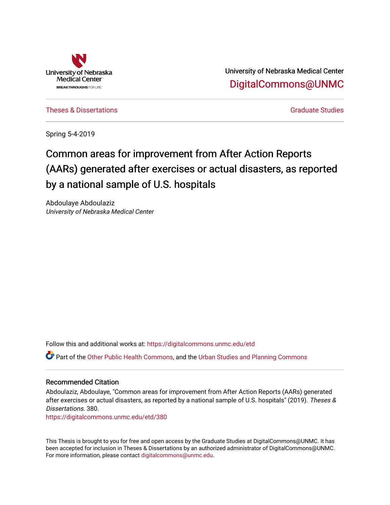

University of Nebraska Medical Center [DigitalCommons@UNMC](https://digitalcommons.unmc.edu/) 

[Theses & Dissertations](https://digitalcommons.unmc.edu/etd) [Graduate Studies](https://digitalcommons.unmc.edu/grad_studies) and Graduate Studies Creations Creations of Graduate Studies

Spring 5-4-2019

# Common areas for improvement from After Action Reports (AARs) generated after exercises or actual disasters, as reported by a national sample of U.S. hospitals

Abdoulaye Abdoulaziz University of Nebraska Medical Center

Follow this and additional works at: [https://digitalcommons.unmc.edu/etd](https://digitalcommons.unmc.edu/etd?utm_source=digitalcommons.unmc.edu%2Fetd%2F380&utm_medium=PDF&utm_campaign=PDFCoverPages)

Part of the [Other Public Health Commons,](http://network.bepress.com/hgg/discipline/748?utm_source=digitalcommons.unmc.edu%2Fetd%2F380&utm_medium=PDF&utm_campaign=PDFCoverPages) and the [Urban Studies and Planning Commons](http://network.bepress.com/hgg/discipline/436?utm_source=digitalcommons.unmc.edu%2Fetd%2F380&utm_medium=PDF&utm_campaign=PDFCoverPages) 

#### Recommended Citation

Abdoulaziz, Abdoulaye, "Common areas for improvement from After Action Reports (AARs) generated after exercises or actual disasters, as reported by a national sample of U.S. hospitals" (2019). Theses & Dissertations. 380.

[https://digitalcommons.unmc.edu/etd/380](https://digitalcommons.unmc.edu/etd/380?utm_source=digitalcommons.unmc.edu%2Fetd%2F380&utm_medium=PDF&utm_campaign=PDFCoverPages)

This Thesis is brought to you for free and open access by the Graduate Studies at DigitalCommons@UNMC. It has been accepted for inclusion in Theses & Dissertations by an authorized administrator of DigitalCommons@UNMC. For more information, please contact [digitalcommons@unmc.edu](mailto:digitalcommons@unmc.edu).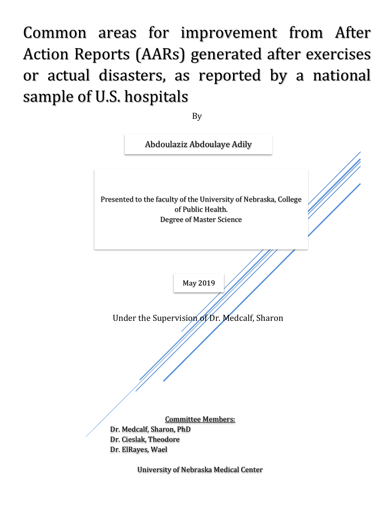Common areas for improvement from After Action Reports (AARs) generated after exercises or actual disasters, as reported by a national sample of U.S. hospitals

By

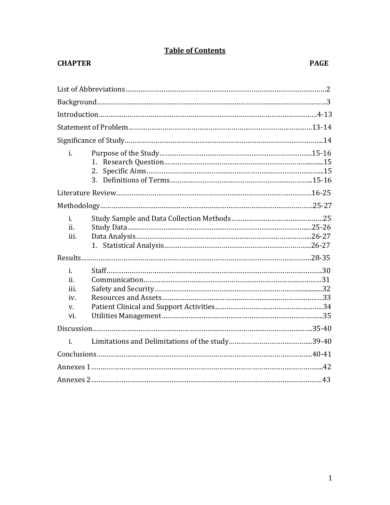# **Table of Contents**

# **CHAPTER PAGE**

| i.                                    | 1.<br>2. |  |
|---------------------------------------|----------|--|
|                                       |          |  |
|                                       |          |  |
| i.<br>ii.<br>iii.                     |          |  |
|                                       |          |  |
| i.<br>ii.<br>iii.<br>iv.<br>V.<br>vi. |          |  |
|                                       |          |  |
| $\mathbf{i}$ .                        |          |  |
|                                       |          |  |
|                                       |          |  |
|                                       |          |  |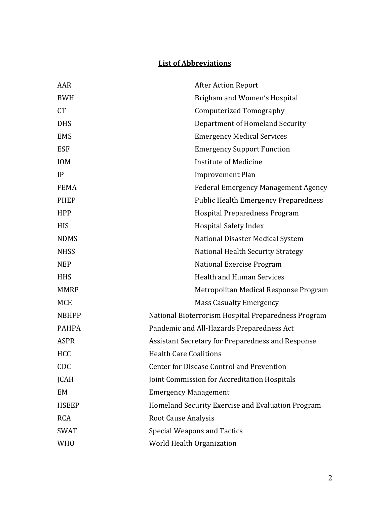# **List of Abbreviations**

| AAR          | <b>After Action Report</b>                          |
|--------------|-----------------------------------------------------|
| <b>BWH</b>   | Brigham and Women's Hospital                        |
| <b>CT</b>    | Computerized Tomography                             |
| <b>DHS</b>   | Department of Homeland Security                     |
| <b>EMS</b>   | <b>Emergency Medical Services</b>                   |
| <b>ESF</b>   | <b>Emergency Support Function</b>                   |
| <b>IOM</b>   | <b>Institute of Medicine</b>                        |
| IP           | <b>Improvement Plan</b>                             |
| <b>FEMA</b>  | <b>Federal Emergency Management Agency</b>          |
| <b>PHEP</b>  | <b>Public Health Emergency Preparedness</b>         |
| <b>HPP</b>   | <b>Hospital Preparedness Program</b>                |
| <b>HIS</b>   | <b>Hospital Safety Index</b>                        |
| <b>NDMS</b>  | National Disaster Medical System                    |
| <b>NHSS</b>  | National Health Security Strategy                   |
| <b>NEP</b>   | National Exercise Program                           |
| <b>HHS</b>   | <b>Health and Human Services</b>                    |
| <b>MMRP</b>  | Metropolitan Medical Response Program               |
| <b>MCE</b>   | <b>Mass Casualty Emergency</b>                      |
| <b>NBHPP</b> | National Bioterrorism Hospital Preparedness Program |
| <b>PAHPA</b> | Pandemic and All-Hazards Preparedness Act           |
| <b>ASPR</b>  | Assistant Secretary for Preparedness and Response   |
| <b>HCC</b>   | <b>Health Care Coalitions</b>                       |
| <b>CDC</b>   | <b>Center for Disease Control and Prevention</b>    |
| <b>JCAH</b>  | Joint Commission for Accreditation Hospitals        |
| EM           | <b>Emergency Management</b>                         |
| <b>HSEEP</b> | Homeland Security Exercise and Evaluation Program   |
| <b>RCA</b>   | <b>Root Cause Analysis</b>                          |
| <b>SWAT</b>  | <b>Special Weapons and Tactics</b>                  |
| <b>WHO</b>   | World Health Organization                           |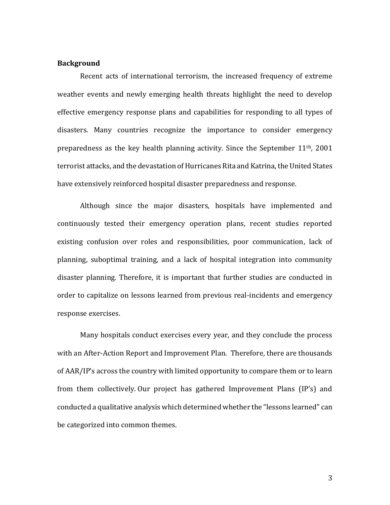#### **Background**

Recent acts of international terrorism, the increased frequency of extreme weather events and newly emerging health threats highlight the need to develop effective emergency response plans and capabilities for responding to all types of disasters. Many countries recognize the importance to consider emergency preparedness as the key health planning activity. Since the September 11th, 2001 terrorist attacks, and the devastation of Hurricanes Rita and Katrina, the United States have extensively reinforced hospital disaster preparedness and response.

Although since the major disasters, hospitals have implemented and continuously tested their emergency operation plans, recent studies reported existing confusion over roles and responsibilities, poor communication, lack of planning, suboptimal training, and a lack of hospital integration into community disaster planning. Therefore, it is important that further studies are conducted in order to capitalize on lessons learned from previous real-incidents and emergency response exercises.

Many hospitals conduct exercises every year, and they conclude the process with an After-Action Report and Improvement Plan. Therefore, there are thousands of AAR/IP's across the country with limited opportunity to compare them or to learn from them collectively. Our project has gathered Improvement Plans (IP's) and conducted a qualitative analysis which determined whether the "lessons learned" can be categorized into common themes.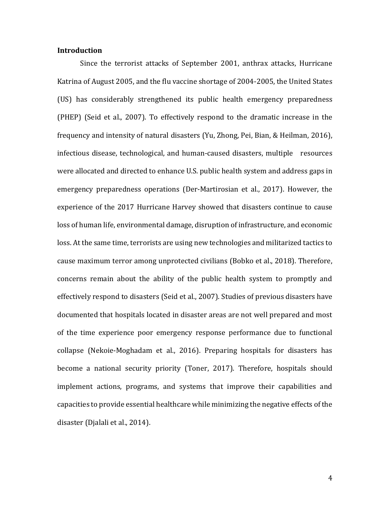### **Introduction**

Since the terrorist attacks of September 2001, anthrax attacks, Hurricane Katrina of August 2005, and the flu vaccine shortage of 2004-2005, the United States (US) has considerably strengthened its public health emergency preparedness (PHEP) (Seid et al., 2007). To effectively respond to the dramatic increase in the frequency and intensity of natural disasters (Yu, Zhong, Pei, Bian, & Heilman, 2016), infectious disease, technological, and human-caused disasters, multiple resources were allocated and directed to enhance U.S. public health system and address gaps in emergency preparedness operations (Der-Martirosian et al., 2017). However, the experience of the 2017 Hurricane Harvey showed that disasters continue to cause loss of human life, environmental damage, disruption of infrastructure, and economic loss. At the same time, terrorists are using new technologies and militarized tactics to cause maximum terror among unprotected civilians (Bobko et al., 2018). Therefore, concerns remain about the ability of the public health system to promptly and effectively respond to disasters (Seid et al., 2007). Studies of previous disasters have documented that hospitals located in disaster areas are not well prepared and most of the time experience poor emergency response performance due to functional collapse (Nekoie-Moghadam et al., 2016). Preparing hospitals for disasters has become a national security priority (Toner, 2017). Therefore, hospitals should implement actions, programs, and systems that improve their capabilities and capacities to provide essential healthcare while minimizing the negative effects of the disaster (Djalali et al., 2014).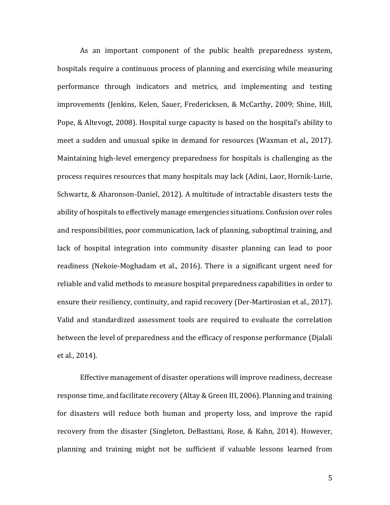As an important component of the public health preparedness system, hospitals require a continuous process of planning and exercising while measuring performance through indicators and metrics, and implementing and testing improvements (Jenkins, Kelen, Sauer, Fredericksen, & McCarthy, 2009; Shine, Hill, Pope, & Altevogt, 2008). Hospital surge capacity is based on the hospital's ability to meet a sudden and unusual spike in demand for resources (Waxman et al., 2017). Maintaining high-level emergency preparedness for hospitals is challenging as the process requires resources that many hospitals may lack (Adini, Laor, Hornik-Lurie, Schwartz, & Aharonson-Daniel, 2012). A multitude of intractable disasters tests the ability of hospitals to effectively manage emergencies situations. Confusion over roles and responsibilities, poor communication, lack of planning, suboptimal training, and lack of hospital integration into community disaster planning can lead to poor readiness (Nekoie-Moghadam et al., 2016). There is a significant urgent need for reliable and valid methods to measure hospital preparedness capabilities in order to ensure their resiliency, continuity, and rapid recovery (Der-Martirosian et al., 2017). Valid and standardized assessment tools are required to evaluate the correlation between the level of preparedness and the efficacy of response performance (Djalali et al., 2014).

Effective management of disaster operations will improve readiness, decrease response time, and facilitate recovery (Altay & Green III, 2006). Planning and training for disasters will reduce both human and property loss, and improve the rapid recovery from the disaster (Singleton, DeBastiani, Rose, & Kahn, 2014). However, planning and training might not be sufficient if valuable lessons learned from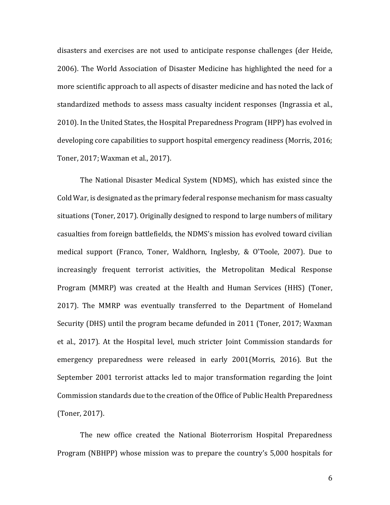disasters and exercises are not used to anticipate response challenges (der Heide, 2006). The World Association of Disaster Medicine has highlighted the need for a more scientific approach to all aspects of disaster medicine and has noted the lack of standardized methods to assess mass casualty incident responses (Ingrassia et al., 2010). In the United States, the Hospital Preparedness Program (HPP) has evolved in developing core capabilities to support hospital emergency readiness (Morris, 2016; Toner, 2017; Waxman et al., 2017).

The National Disaster Medical System (NDMS), which has existed since the Cold War, is designated as the primary federal response mechanism for mass casualty situations (Toner, 2017). Originally designed to respond to large numbers of military casualties from foreign battlefields, the NDMS's mission has evolved toward civilian medical support (Franco, Toner, Waldhorn, Inglesby, & O'Toole, 2007). Due to increasingly frequent terrorist activities, the Metropolitan Medical Response Program (MMRP) was created at the Health and Human Services (HHS) (Toner, 2017). The MMRP was eventually transferred to the Department of Homeland Security (DHS) until the program became defunded in 2011 (Toner, 2017; Waxman et al., 2017). At the Hospital level, much stricter Joint Commission standards for emergency preparedness were released in early 2001(Morris, 2016). But the September 2001 terrorist attacks led to major transformation regarding the Joint Commission standards due to the creation of the Office of Public Health Preparedness (Toner, 2017).

The new office created the National Bioterrorism Hospital Preparedness Program (NBHPP) whose mission was to prepare the country's 5,000 hospitals for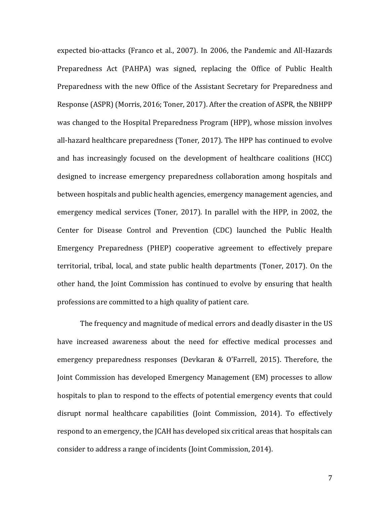expected bio-attacks (Franco et al., 2007). In 2006, the Pandemic and All-Hazards Preparedness Act (PAHPA) was signed, replacing the Office of Public Health Preparedness with the new Office of the Assistant Secretary for Preparedness and Response (ASPR) (Morris, 2016; Toner, 2017). After the creation of ASPR, the NBHPP was changed to the Hospital Preparedness Program (HPP), whose mission involves all-hazard healthcare preparedness (Toner, 2017). The HPP has continued to evolve and has increasingly focused on the development of healthcare coalitions (HCC) designed to increase emergency preparedness collaboration among hospitals and between hospitals and public health agencies, emergency management agencies, and emergency medical services (Toner, 2017). In parallel with the HPP, in 2002, the Center for Disease Control and Prevention (CDC) launched the Public Health Emergency Preparedness (PHEP) cooperative agreement to effectively prepare territorial, tribal, local, and state public health departments (Toner, 2017). On the other hand, the Joint Commission has continued to evolve by ensuring that health professions are committed to a high quality of patient care.

The frequency and magnitude of medical errors and deadly disaster in the US have increased awareness about the need for effective medical processes and emergency preparedness responses (Devkaran & O'Farrell, 2015). Therefore, the Joint Commission has developed Emergency Management (EM) processes to allow hospitals to plan to respond to the effects of potential emergency events that could disrupt normal healthcare capabilities (Joint Commission, 2014). To effectively respond to an emergency, the JCAH has developed six critical areas that hospitals can consider to address a range of incidents (Joint Commission, 2014).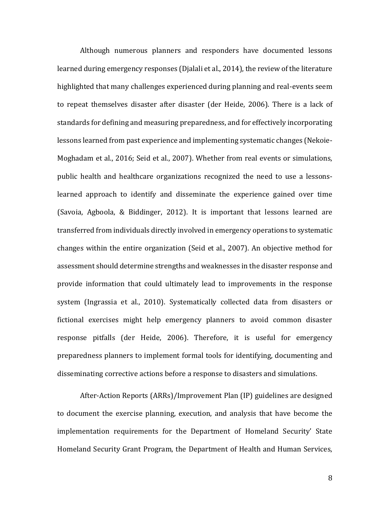Although numerous planners and responders have documented lessons learned during emergency responses (Djalali et al., 2014), the review of the literature highlighted that many challenges experienced during planning and real-events seem to repeat themselves disaster after disaster (der Heide, 2006). There is a lack of standards for defining and measuring preparedness, and for effectively incorporating lessons learned from past experience and implementing systematic changes (Nekoie-Moghadam et al., 2016; Seid et al., 2007). Whether from real events or simulations, public health and healthcare organizations recognized the need to use a lessonslearned approach to identify and disseminate the experience gained over time (Savoia, Agboola, & Biddinger, 2012). It is important that lessons learned are transferred from individuals directly involved in emergency operations to systematic changes within the entire organization (Seid et al., 2007). An objective method for assessment should determine strengths and weaknesses in the disaster response and provide information that could ultimately lead to improvements in the response system (Ingrassia et al., 2010). Systematically collected data from disasters or fictional exercises might help emergency planners to avoid common disaster response pitfalls (der Heide, 2006). Therefore, it is useful for emergency preparedness planners to implement formal tools for identifying, documenting and disseminating corrective actions before a response to disasters and simulations.

After-Action Reports (ARRs)/Improvement Plan (IP) guidelines are designed to document the exercise planning, execution, and analysis that have become the implementation requirements for the Department of Homeland Security' State Homeland Security Grant Program, the Department of Health and Human Services,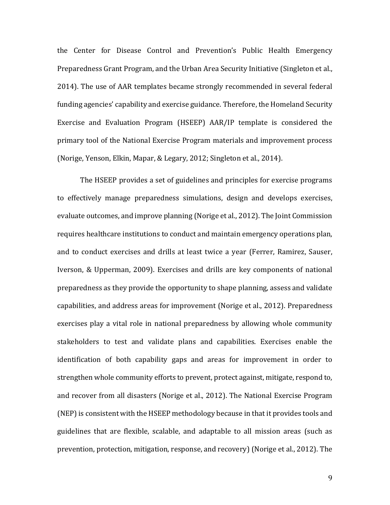the Center for Disease Control and Prevention's Public Health Emergency Preparedness Grant Program, and the Urban Area Security Initiative (Singleton et al., 2014). The use of AAR templates became strongly recommended in several federal funding agencies' capability and exercise guidance. Therefore, the Homeland Security Exercise and Evaluation Program (HSEEP) AAR/IP template is considered the primary tool of the National Exercise Program materials and improvement process (Norige, Yenson, Elkin, Mapar, & Legary, 2012; Singleton et al., 2014).

The HSEEP provides a set of guidelines and principles for exercise programs to effectively manage preparedness simulations, design and develops exercises, evaluate outcomes, and improve planning (Norige et al., 2012). The Joint Commission requires healthcare institutions to conduct and maintain emergency operations plan, and to conduct exercises and drills at least twice a year (Ferrer, Ramirez, Sauser, Iverson, & Upperman, 2009). Exercises and drills are key components of national preparedness as they provide the opportunity to shape planning, assess and validate capabilities, and address areas for improvement (Norige et al., 2012). Preparedness exercises play a vital role in national preparedness by allowing whole community stakeholders to test and validate plans and capabilities. Exercises enable the identification of both capability gaps and areas for improvement in order to strengthen whole community efforts to prevent, protect against, mitigate, respond to, and recover from all disasters (Norige et al., 2012). The National Exercise Program (NEP) is consistent with the HSEEP methodology because in that it provides tools and guidelines that are flexible, scalable, and adaptable to all mission areas (such as prevention, protection, mitigation, response, and recovery) (Norige et al., 2012). The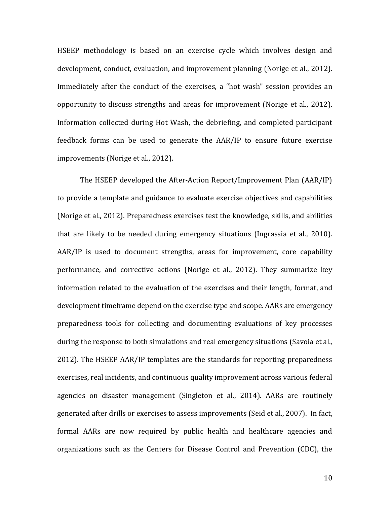HSEEP methodology is based on an exercise cycle which involves design and development, conduct, evaluation, and improvement planning (Norige et al., 2012). Immediately after the conduct of the exercises, a "hot wash" session provides an opportunity to discuss strengths and areas for improvement (Norige et al., 2012). Information collected during Hot Wash, the debriefing, and completed participant feedback forms can be used to generate the AAR/IP to ensure future exercise improvements (Norige et al., 2012).

The HSEEP developed the After-Action Report/Improvement Plan (AAR/IP) to provide a template and guidance to evaluate exercise objectives and capabilities (Norige et al., 2012). Preparedness exercises test the knowledge, skills, and abilities that are likely to be needed during emergency situations (Ingrassia et al., 2010). AAR/IP is used to document strengths, areas for improvement, core capability performance, and corrective actions (Norige et al., 2012). They summarize key information related to the evaluation of the exercises and their length, format, and development timeframe depend on the exercise type and scope. AARs are emergency preparedness tools for collecting and documenting evaluations of key processes during the response to both simulations and real emergency situations (Savoia et al., 2012). The HSEEP AAR/IP templates are the standards for reporting preparedness exercises, real incidents, and continuous quality improvement across various federal agencies on disaster management (Singleton et al., 2014). AARs are routinely generated after drills or exercises to assess improvements (Seid et al., 2007). In fact, formal AARs are now required by public health and healthcare agencies and organizations such as the Centers for Disease Control and Prevention (CDC), the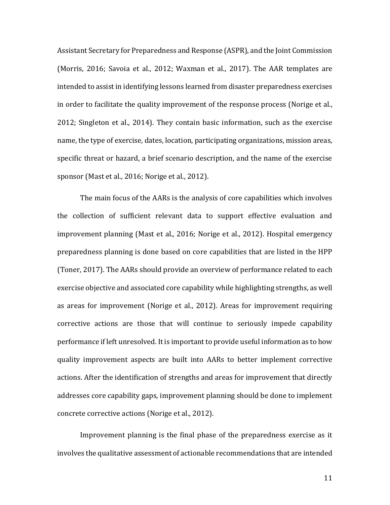Assistant Secretary for Preparedness and Response (ASPR), and the Joint Commission (Morris, 2016; Savoia et al., 2012; Waxman et al., 2017). The AAR templates are intended to assist in identifying lessons learned from disaster preparedness exercises in order to facilitate the quality improvement of the response process (Norige et al., 2012; Singleton et al., 2014). They contain basic information, such as the exercise name, the type of exercise, dates, location, participating organizations, mission areas, specific threat or hazard, a brief scenario description, and the name of the exercise sponsor (Mast et al., 2016; Norige et al., 2012).

The main focus of the AARs is the analysis of core capabilities which involves the collection of sufficient relevant data to support effective evaluation and improvement planning (Mast et al., 2016; Norige et al., 2012). Hospital emergency preparedness planning is done based on core capabilities that are listed in the HPP (Toner, 2017). The AARs should provide an overview of performance related to each exercise objective and associated core capability while highlighting strengths, as well as areas for improvement (Norige et al., 2012). Areas for improvement requiring corrective actions are those that will continue to seriously impede capability performance if left unresolved. It is important to provide useful information as to how quality improvement aspects are built into AARs to better implement corrective actions. After the identification of strengths and areas for improvement that directly addresses core capability gaps, improvement planning should be done to implement concrete corrective actions (Norige et al., 2012).

Improvement planning is the final phase of the preparedness exercise as it involves the qualitative assessment of actionable recommendations that are intended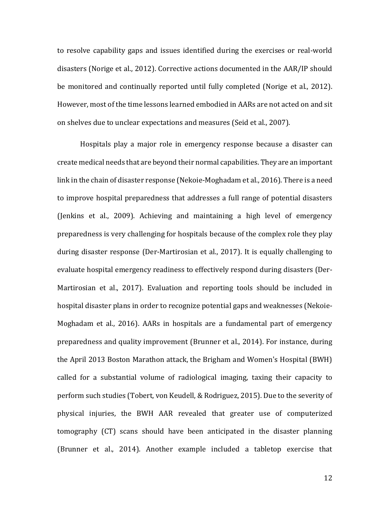to resolve capability gaps and issues identified during the exercises or real-world disasters (Norige et al., 2012). Corrective actions documented in the AAR/IP should be monitored and continually reported until fully completed (Norige et al., 2012). However, most of the time lessons learned embodied in AARs are not acted on and sit on shelves due to unclear expectations and measures (Seid et al., 2007).

Hospitals play a major role in emergency response because a disaster can create medical needs that are beyond their normal capabilities. They are an important link in the chain of disaster response (Nekoie-Moghadam et al., 2016). There is a need to improve hospital preparedness that addresses a full range of potential disasters (Jenkins et al., 2009). Achieving and maintaining a high level of emergency preparedness is very challenging for hospitals because of the complex role they play during disaster response (Der-Martirosian et al., 2017). It is equally challenging to evaluate hospital emergency readiness to effectively respond during disasters (Der-Martirosian et al., 2017). Evaluation and reporting tools should be included in hospital disaster plans in order to recognize potential gaps and weaknesses (Nekoie-Moghadam et al., 2016). AARs in hospitals are a fundamental part of emergency preparedness and quality improvement (Brunner et al., 2014). For instance, during the April 2013 Boston Marathon attack, the Brigham and Women's Hospital (BWH) called for a substantial volume of radiological imaging, taxing their capacity to perform such studies (Tobert, von Keudell, & Rodriguez, 2015). Due to the severity of physical injuries, the BWH AAR revealed that greater use of computerized tomography (CT) scans should have been anticipated in the disaster planning (Brunner et al., 2014). Another example included a tabletop exercise that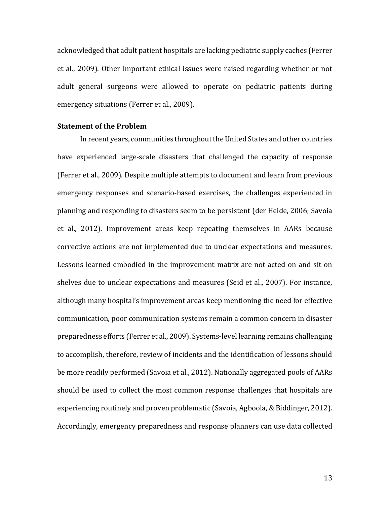acknowledged that adult patient hospitals are lacking pediatric supply caches (Ferrer et al., 2009). Other important ethical issues were raised regarding whether or not adult general surgeons were allowed to operate on pediatric patients during emergency situations (Ferrer et al., 2009).

#### **Statement of the Problem**

In recent years, communities throughout the United States and other countries have experienced large-scale disasters that challenged the capacity of response (Ferrer et al., 2009). Despite multiple attempts to document and learn from previous emergency responses and scenario-based exercises, the challenges experienced in planning and responding to disasters seem to be persistent (der Heide, 2006; Savoia et al., 2012). Improvement areas keep repeating themselves in AARs because corrective actions are not implemented due to unclear expectations and measures. Lessons learned embodied in the improvement matrix are not acted on and sit on shelves due to unclear expectations and measures (Seid et al., 2007). For instance, although many hospital's improvement areas keep mentioning the need for effective communication, poor communication systems remain a common concern in disaster preparedness efforts (Ferrer et al., 2009). Systems-level learning remains challenging to accomplish, therefore, review of incidents and the identification of lessons should be more readily performed (Savoia et al., 2012). Nationally aggregated pools of AARs should be used to collect the most common response challenges that hospitals are experiencing routinely and proven problematic (Savoia, Agboola, & Biddinger, 2012). Accordingly, emergency preparedness and response planners can use data collected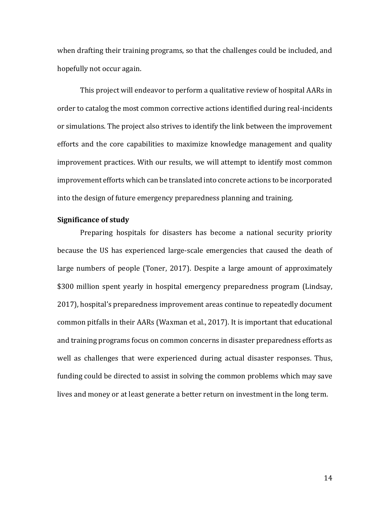when drafting their training programs, so that the challenges could be included, and hopefully not occur again.

This project will endeavor to perform a qualitative review of hospital AARs in order to catalog the most common corrective actions identified during real-incidents or simulations. The project also strives to identify the link between the improvement efforts and the core capabilities to maximize knowledge management and quality improvement practices. With our results, we will attempt to identify most common improvement efforts which can be translated into concrete actions to be incorporated into the design of future emergency preparedness planning and training.

### **Significance of study**

Preparing hospitals for disasters has become a national security priority because the US has experienced large-scale emergencies that caused the death of large numbers of people (Toner, 2017). Despite a large amount of approximately \$300 million spent yearly in hospital emergency preparedness program (Lindsay, 2017), hospital's preparedness improvement areas continue to repeatedly document common pitfalls in their AARs (Waxman et al., 2017). It is important that educational and training programs focus on common concerns in disaster preparedness efforts as well as challenges that were experienced during actual disaster responses. Thus, funding could be directed to assist in solving the common problems which may save lives and money or at least generate a better return on investment in the long term.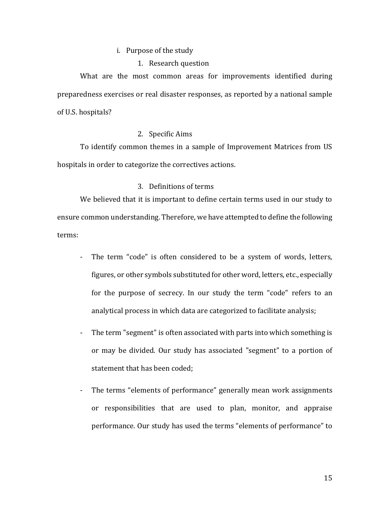#### i. Purpose of the study

1. Research question

What are the most common areas for improvements identified during preparedness exercises or real disaster responses, as reported by a national sample of U.S. hospitals?

#### 2. Specific Aims

To identify common themes in a sample of Improvement Matrices from US hospitals in order to categorize the correctives actions.

### 3. Definitions of terms

We believed that it is important to define certain terms used in our study to ensure common understanding. Therefore, we have attempted to define the following terms:

- The term "code" is often considered to be a system of words, letters, figures, or other symbols substituted for other word, letters, etc., especially for the purpose of secrecy. In our study the term "code" refers to an analytical process in which data are categorized to facilitate analysis;
- The term "segment" is often associated with parts into which something is or may be divided. Our study has associated "segment" to a portion of statement that has been coded;
- The terms "elements of performance" generally mean work assignments or responsibilities that are used to plan, monitor, and appraise performance. Our study has used the terms "elements of performance" to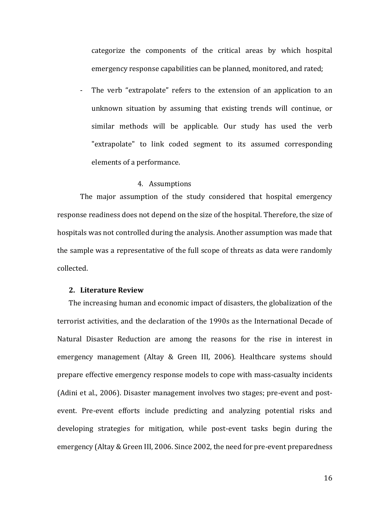categorize the components of the critical areas by which hospital emergency response capabilities can be planned, monitored, and rated;

- The verb "extrapolate" refers to the extension of an application to an unknown situation by assuming that existing trends will continue, or similar methods will be applicable. Our study has used the verb "extrapolate" to link coded segment to its assumed corresponding elements of a performance.

#### 4. Assumptions

The major assumption of the study considered that hospital emergency response readiness does not depend on the size of the hospital. Therefore, the size of hospitals was not controlled during the analysis. Another assumption was made that the sample was a representative of the full scope of threats as data were randomly collected.

#### **2. Literature Review**

The increasing human and economic impact of disasters, the globalization of the terrorist activities, and the declaration of the 1990s as the International Decade of Natural Disaster Reduction are among the reasons for the rise in interest in emergency management (Altay & Green III, 2006). Healthcare systems should prepare effective emergency response models to cope with mass-casualty incidents (Adini et al., 2006). Disaster management involves two stages; pre-event and postevent. Pre-event efforts include predicting and analyzing potential risks and developing strategies for mitigation, while post-event tasks begin during the emergency (Altay & Green III, 2006. Since 2002, the need for pre-event preparedness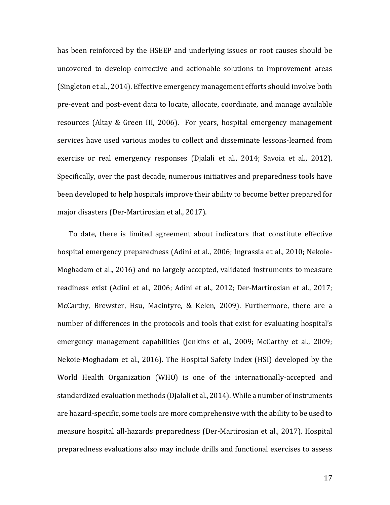has been reinforced by the HSEEP and underlying issues or root causes should be uncovered to develop corrective and actionable solutions to improvement areas (Singleton et al., 2014). Effective emergency management efforts should involve both pre-event and post-event data to locate, allocate, coordinate, and manage available resources (Altay & Green III, 2006). For years, hospital emergency management services have used various modes to collect and disseminate lessons-learned from exercise or real emergency responses (Djalali et al., 2014; Savoia et al., 2012). Specifically, over the past decade, numerous initiatives and preparedness tools have been developed to help hospitals improve their ability to become better prepared for major disasters (Der-Martirosian et al., 2017).

To date, there is limited agreement about indicators that constitute effective hospital emergency preparedness (Adini et al., 2006; Ingrassia et al., 2010; Nekoie-Moghadam et al., 2016) and no largely-accepted, validated instruments to measure readiness exist (Adini et al., 2006; Adini et al., 2012; Der-Martirosian et al., 2017; McCarthy, Brewster, Hsu, Macintyre, & Kelen, 2009). Furthermore, there are a number of differences in the protocols and tools that exist for evaluating hospital's emergency management capabilities (Jenkins et al., 2009; McCarthy et al., 2009; Nekoie-Moghadam et al., 2016). The Hospital Safety Index (HSI) developed by the World Health Organization (WHO) is one of the internationally-accepted and standardized evaluation methods (Djalali et al., 2014). While a number of instruments are hazard-specific, some tools are more comprehensive with the ability to be used to measure hospital all-hazards preparedness (Der-Martirosian et al., 2017). Hospital preparedness evaluations also may include drills and functional exercises to assess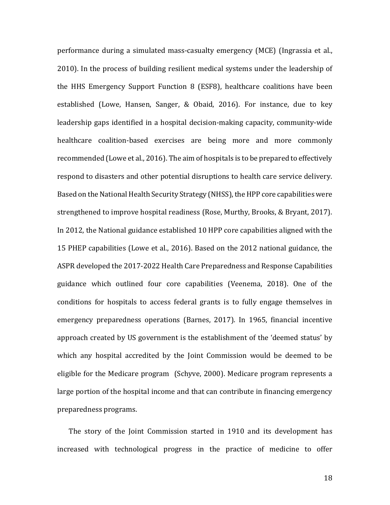performance during a simulated mass-casualty emergency (MCE) (Ingrassia et al., 2010). In the process of building resilient medical systems under the leadership of the HHS Emergency Support Function 8 (ESF8), healthcare coalitions have been established (Lowe, Hansen, Sanger, & Obaid, 2016). For instance, due to key leadership gaps identified in a hospital decision-making capacity, community-wide healthcare coalition-based exercises are being more and more commonly recommended (Lowe et al., 2016). The aim of hospitals is to be prepared to effectively respond to disasters and other potential disruptions to health care service delivery. Based on the National Health Security Strategy (NHSS), the HPP core capabilities were strengthened to improve hospital readiness (Rose, Murthy, Brooks, & Bryant, 2017). In 2012, the National guidance established 10 HPP core capabilities aligned with the 15 PHEP capabilities (Lowe et al., 2016). Based on the 2012 national guidance, the ASPR developed the 2017-2022 Health Care Preparedness and Response Capabilities guidance which outlined four core capabilities (Veenema, 2018). One of the conditions for hospitals to access federal grants is to fully engage themselves in emergency preparedness operations (Barnes, 2017). In 1965, financial incentive approach created by US government is the establishment of the 'deemed status' by which any hospital accredited by the Joint Commission would be deemed to be eligible for the Medicare program (Schyve, 2000). Medicare program represents a large portion of the hospital income and that can contribute in financing emergency preparedness programs.

The story of the Joint Commission started in 1910 and its development has increased with technological progress in the practice of medicine to offer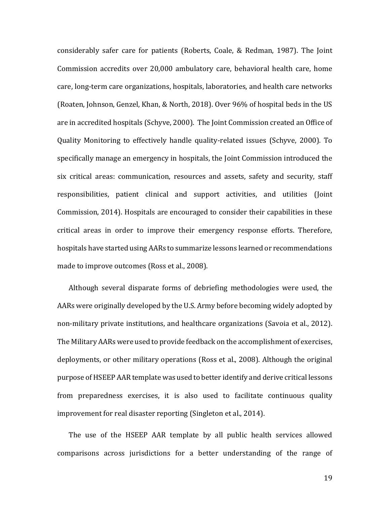considerably safer care for patients (Roberts, Coale, & Redman, 1987). The Joint Commission accredits over 20,000 ambulatory care, behavioral health care, home care, long-term care organizations, hospitals, laboratories, and health care networks (Roaten, Johnson, Genzel, Khan, & North, 2018). Over 96% of hospital beds in the US are in accredited hospitals (Schyve, 2000). The Joint Commission created an Office of Quality Monitoring to effectively handle quality-related issues (Schyve, 2000). To specifically manage an emergency in hospitals, the Joint Commission introduced the six critical areas: communication, resources and assets, safety and security, staff responsibilities, patient clinical and support activities, and utilities (Joint Commission, 2014). Hospitals are encouraged to consider their capabilities in these critical areas in order to improve their emergency response efforts. Therefore, hospitals have started using AARs to summarize lessons learned or recommendations made to improve outcomes (Ross et al., 2008).

Although several disparate forms of debriefing methodologies were used, the AARs were originally developed by the U.S. Army before becoming widely adopted by non-military private institutions, and healthcare organizations (Savoia et al., 2012). The Military AARs were used to provide feedback on the accomplishment of exercises, deployments, or other military operations (Ross et al., 2008). Although the original purpose of HSEEP AAR template was used to better identify and derive critical lessons from preparedness exercises, it is also used to facilitate continuous quality improvement for real disaster reporting (Singleton et al., 2014).

The use of the HSEEP AAR template by all public health services allowed comparisons across jurisdictions for a better understanding of the range of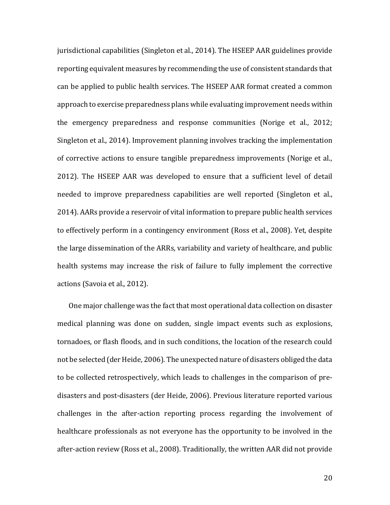jurisdictional capabilities (Singleton et al., 2014). The HSEEP AAR guidelines provide reporting equivalent measures by recommending the use of consistent standards that can be applied to public health services. The HSEEP AAR format created a common approach to exercise preparedness plans while evaluating improvement needs within the emergency preparedness and response communities (Norige et al., 2012; Singleton et al., 2014). Improvement planning involves tracking the implementation of corrective actions to ensure tangible preparedness improvements (Norige et al., 2012). The HSEEP AAR was developed to ensure that a sufficient level of detail needed to improve preparedness capabilities are well reported (Singleton et al., 2014). AARs provide a reservoir of vital information to prepare public health services to effectively perform in a contingency environment (Ross et al., 2008). Yet, despite the large dissemination of the ARRs, variability and variety of healthcare, and public health systems may increase the risk of failure to fully implement the corrective actions (Savoia et al., 2012).

One major challenge was the fact that most operational data collection on disaster medical planning was done on sudden, single impact events such as explosions, tornadoes, or flash floods, and in such conditions, the location of the research could not be selected (der Heide, 2006). The unexpected nature of disasters obliged the data to be collected retrospectively, which leads to challenges in the comparison of predisasters and post-disasters (der Heide, 2006). Previous literature reported various challenges in the after-action reporting process regarding the involvement of healthcare professionals as not everyone has the opportunity to be involved in the after-action review (Ross et al., 2008). Traditionally, the written AAR did not provide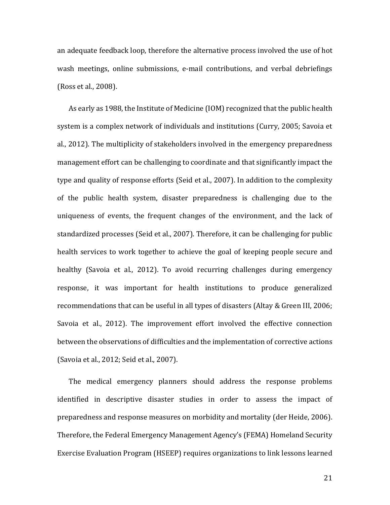an adequate feedback loop, therefore the alternative process involved the use of hot wash meetings, online submissions, e-mail contributions, and verbal debriefings (Ross et al., 2008).

As early as 1988, the Institute of Medicine (IOM) recognized that the public health system is a complex network of individuals and institutions (Curry, 2005; Savoia et al., 2012). The multiplicity of stakeholders involved in the emergency preparedness management effort can be challenging to coordinate and that significantly impact the type and quality of response efforts (Seid et al., 2007). In addition to the complexity of the public health system, disaster preparedness is challenging due to the uniqueness of events, the frequent changes of the environment, and the lack of standardized processes (Seid et al., 2007). Therefore, it can be challenging for public health services to work together to achieve the goal of keeping people secure and healthy (Savoia et al., 2012). To avoid recurring challenges during emergency response, it was important for health institutions to produce generalized recommendations that can be useful in all types of disasters (Altay & Green III, 2006; Savoia et al., 2012). The improvement effort involved the effective connection between the observations of difficulties and the implementation of corrective actions (Savoia et al., 2012; Seid et al., 2007).

The medical emergency planners should address the response problems identified in descriptive disaster studies in order to assess the impact of preparedness and response measures on morbidity and mortality (der Heide, 2006). Therefore, the Federal Emergency Management Agency's (FEMA) Homeland Security Exercise Evaluation Program (HSEEP) requires organizations to link lessons learned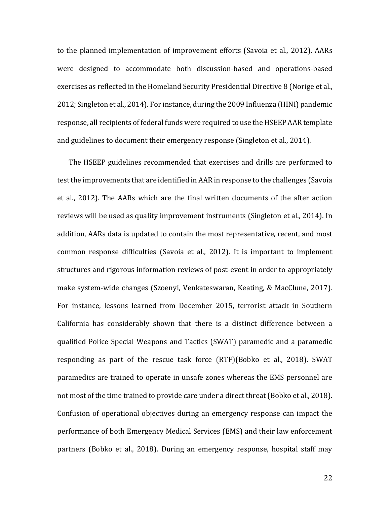to the planned implementation of improvement efforts (Savoia et al., 2012). AARs were designed to accommodate both discussion-based and operations-based exercises as reflected in the Homeland Security Presidential Directive 8 (Norige et al., 2012; Singleton et al., 2014). For instance, during the 2009 Influenza (HINI) pandemic response, all recipients of federal funds were required to use the HSEEP AAR template and guidelines to document their emergency response (Singleton et al., 2014).

The HSEEP guidelines recommended that exercises and drills are performed to test the improvements that are identified in AAR in response to the challenges (Savoia et al., 2012). The AARs which are the final written documents of the after action reviews will be used as quality improvement instruments (Singleton et al., 2014). In addition, AARs data is updated to contain the most representative, recent, and most common response difficulties (Savoia et al., 2012). It is important to implement structures and rigorous information reviews of post-event in order to appropriately make system-wide changes (Szoenyi, Venkateswaran, Keating, & MacClune, 2017). For instance, lessons learned from December 2015, terrorist attack in Southern California has considerably shown that there is a distinct difference between a qualified Police Special Weapons and Tactics (SWAT) paramedic and a paramedic responding as part of the rescue task force (RTF)(Bobko et al., 2018). SWAT paramedics are trained to operate in unsafe zones whereas the EMS personnel are not most of the time trained to provide care under a direct threat (Bobko et al., 2018). Confusion of operational objectives during an emergency response can impact the performance of both Emergency Medical Services (EMS) and their law enforcement partners (Bobko et al., 2018). During an emergency response, hospital staff may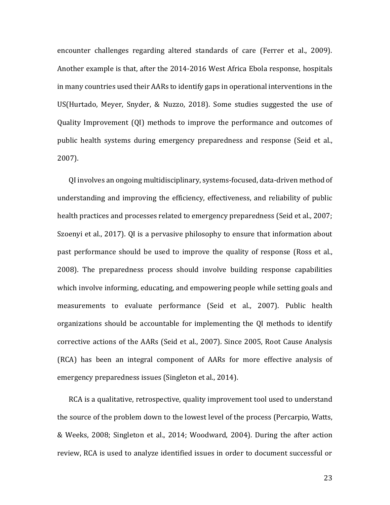encounter challenges regarding altered standards of care (Ferrer et al., 2009). Another example is that, after the 2014-2016 West Africa Ebola response, hospitals in many countries used their AARs to identify gaps in operational interventions in the US(Hurtado, Meyer, Snyder, & Nuzzo, 2018). Some studies suggested the use of Quality Improvement (QI) methods to improve the performance and outcomes of public health systems during emergency preparedness and response (Seid et al., 2007).

QI involves an ongoing multidisciplinary, systems-focused, data-driven method of understanding and improving the efficiency, effectiveness, and reliability of public health practices and processes related to emergency preparedness (Seid et al., 2007; Szoenyi et al., 2017). QI is a pervasive philosophy to ensure that information about past performance should be used to improve the quality of response (Ross et al., 2008). The preparedness process should involve building response capabilities which involve informing, educating, and empowering people while setting goals and measurements to evaluate performance (Seid et al., 2007). Public health organizations should be accountable for implementing the QI methods to identify corrective actions of the AARs (Seid et al., 2007). Since 2005, Root Cause Analysis (RCA) has been an integral component of AARs for more effective analysis of emergency preparedness issues (Singleton et al., 2014).

RCA is a qualitative, retrospective, quality improvement tool used to understand the source of the problem down to the lowest level of the process (Percarpio, Watts, & Weeks, 2008; Singleton et al., 2014; Woodward, 2004). During the after action review, RCA is used to analyze identified issues in order to document successful or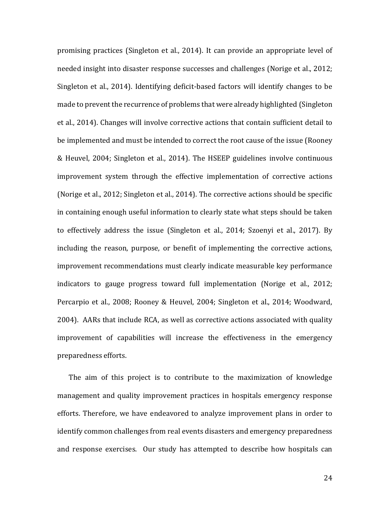promising practices (Singleton et al., 2014). It can provide an appropriate level of needed insight into disaster response successes and challenges (Norige et al., 2012; Singleton et al., 2014). Identifying deficit-based factors will identify changes to be made to prevent the recurrence of problems that were already highlighted (Singleton et al., 2014). Changes will involve corrective actions that contain sufficient detail to be implemented and must be intended to correct the root cause of the issue (Rooney & Heuvel, 2004; Singleton et al., 2014). The HSEEP guidelines involve continuous improvement system through the effective implementation of corrective actions (Norige et al., 2012; Singleton et al., 2014). The corrective actions should be specific in containing enough useful information to clearly state what steps should be taken to effectively address the issue (Singleton et al., 2014; Szoenyi et al., 2017). By including the reason, purpose, or benefit of implementing the corrective actions, improvement recommendations must clearly indicate measurable key performance indicators to gauge progress toward full implementation (Norige et al., 2012; Percarpio et al., 2008; Rooney & Heuvel, 2004; Singleton et al., 2014; Woodward, 2004). AARs that include RCA, as well as corrective actions associated with quality improvement of capabilities will increase the effectiveness in the emergency preparedness efforts.

The aim of this project is to contribute to the maximization of knowledge management and quality improvement practices in hospitals emergency response efforts. Therefore, we have endeavored to analyze improvement plans in order to identify common challenges from real events disasters and emergency preparedness and response exercises. Our study has attempted to describe how hospitals can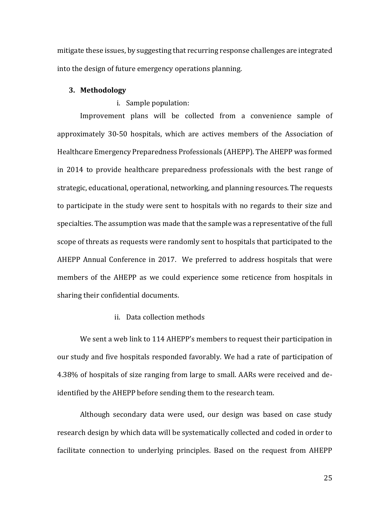mitigate these issues, by suggesting that recurring response challenges are integrated into the design of future emergency operations planning.

#### **3. Methodology**

#### i. Sample population:

Improvement plans will be collected from a convenience sample of approximately 30-50 hospitals, which are actives members of the Association of Healthcare Emergency Preparedness Professionals (AHEPP). The AHEPP was formed in 2014 to provide healthcare preparedness professionals with the best range of strategic, educational, operational, networking, and planning resources. The requests to participate in the study were sent to hospitals with no regards to their size and specialties. The assumption was made that the sample was a representative of the full scope of threats as requests were randomly sent to hospitals that participated to the AHEPP Annual Conference in 2017. We preferred to address hospitals that were members of the AHEPP as we could experience some reticence from hospitals in sharing their confidential documents.

### ii. Data collection methods

We sent a web link to 114 AHEPP's members to request their participation in our study and five hospitals responded favorably. We had a rate of participation of 4.38% of hospitals of size ranging from large to small. AARs were received and deidentified by the AHEPP before sending them to the research team.

Although secondary data were used, our design was based on case study research design by which data will be systematically collected and coded in order to facilitate connection to underlying principles. Based on the request from AHEPP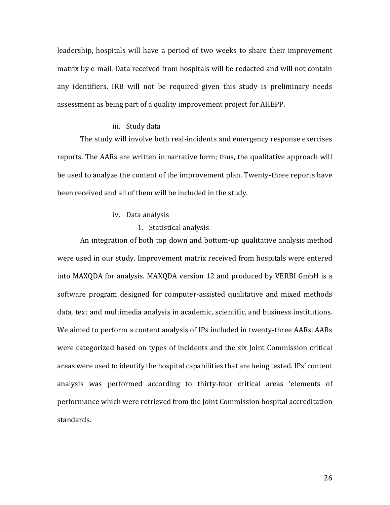leadership, hospitals will have a period of two weeks to share their improvement matrix by e-mail. Data received from hospitals will be redacted and will not contain any identifiers. IRB will not be required given this study is preliminary needs assessment as being part of a quality improvement project for AHEPP.

#### iii. Study data

The study will involve both real-incidents and emergency response exercises reports. The AARs are written in narrative form; thus, the qualitative approach will be used to analyze the content of the improvement plan. Twenty-three reports have been received and all of them will be included in the study.

#### iv. Data analysis

#### 1. Statistical analysis

An integration of both top down and bottom-up qualitative analysis method were used in our study. Improvement matrix received from hospitals were entered into MAXQDA for analysis. MAXQDA version 12 and produced by VERBI GmbH is a software program designed for computer-assisted qualitative and mixed methods data, text and multimedia analysis in academic, scientific, and business institutions. We aimed to perform a content analysis of IPs included in twenty-three AARs. AARs were categorized based on types of incidents and the six Joint Commission critical areas were used to identify the hospital capabilities that are being tested. IPs' content analysis was performed according to thirty-four critical areas 'elements of performance which were retrieved from the Joint Commission hospital accreditation standards.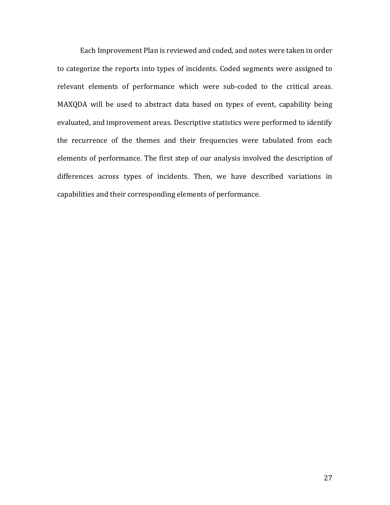Each Improvement Plan is reviewed and coded, and notes were taken in order to categorize the reports into types of incidents. Coded segments were assigned to relevant elements of performance which were sub-coded to the critical areas. MAXQDA will be used to abstract data based on types of event, capability being evaluated, and improvement areas. Descriptive statistics were performed to identify the recurrence of the themes and their frequencies were tabulated from each elements of performance. The first step of our analysis involved the description of differences across types of incidents. Then, we have described variations in capabilities and their corresponding elements of performance.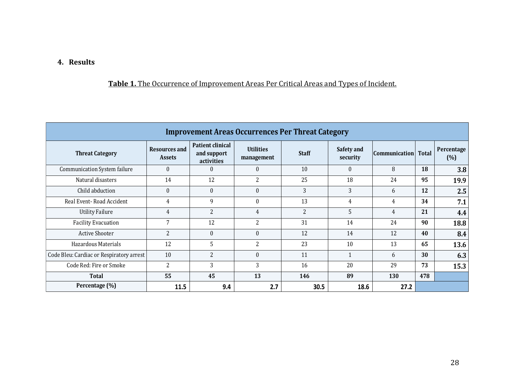# **4. Results**

### **Table 1.** The Occurrence of Improvement Areas Per Critical Areas and Types of Incident.

| <b>Improvement Areas Occurrences Per Threat Category</b> |                                |                                                      |                                |              |                        |                      |       |                   |
|----------------------------------------------------------|--------------------------------|------------------------------------------------------|--------------------------------|--------------|------------------------|----------------------|-------|-------------------|
| <b>Threat Category</b>                                   | Resources and<br><b>Assets</b> | <b>Patient clinical</b><br>and support<br>activities | <b>Utilities</b><br>management | <b>Staff</b> | Safety and<br>security | <b>Communication</b> | Total | Percentage<br>(%) |
| Communication System failure                             | $\theta$                       | $\Omega$                                             | $\mathbf{0}$                   | 10           | $\Omega$               | 8                    | 18    | 3.8               |
| Natural disasters                                        | 14                             | 12                                                   | $\overline{2}$                 | 25           | 18                     | 24                   | 95    | 19.9              |
| Child abduction                                          | $\theta$                       | $\theta$                                             | $\theta$                       | 3            | 3                      | 6                    | 12    | 2.5               |
| Real Event-Road Accident                                 | 4                              | 9                                                    | $\theta$                       | 13           | 4                      | 4                    | 34    | 7.1               |
| <b>Utility Failure</b>                                   | $\overline{4}$                 | $\overline{2}$                                       | $\overline{4}$                 | 2            | 5                      | 4                    | 21    | 4.4               |
| <b>Facility Evacuation</b>                               | 7                              | 12                                                   | $\overline{2}$                 | 31           | 14                     | 24                   | 90    | 18.8              |
| <b>Active Shooter</b>                                    | $\overline{2}$                 | $\theta$                                             | $\boldsymbol{0}$               | 12           | 14                     | 12                   | 40    | 8.4               |
| Hazardous Materials                                      | 12                             | 5                                                    | $\overline{2}$                 | 23           | 10                     | 13                   | 65    | 13.6              |
| Code Bleu: Cardiac or Respiratory arrest                 | 10                             | $\overline{2}$                                       | $\theta$                       | 11           | $\mathbf{1}$           | 6                    | 30    | 6.3               |
| Code Red: Fire or Smoke                                  | $\overline{2}$                 | 3                                                    | 3                              | 16           | 20                     | 29                   | 73    | 15.3              |
| Total                                                    | 55                             | 45                                                   | 13                             | 146          | 89                     | 130                  | 478   |                   |
| Percentage (%)                                           | 11.5                           | 9.4                                                  | 2.7                            | 30.5         | 18.6                   | 27.2                 |       |                   |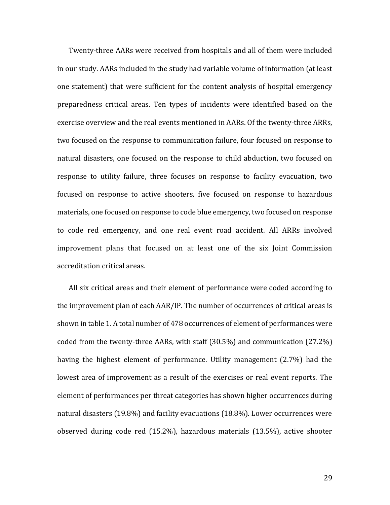Twenty-three AARs were received from hospitals and all of them were included in our study. AARs included in the study had variable volume of information (at least one statement) that were sufficient for the content analysis of hospital emergency preparedness critical areas. Ten types of incidents were identified based on the exercise overview and the real events mentioned in AARs. Of the twenty-three ARRs, two focused on the response to communication failure, four focused on response to natural disasters, one focused on the response to child abduction, two focused on response to utility failure, three focuses on response to facility evacuation, two focused on response to active shooters, five focused on response to hazardous materials, one focused on response to code blue emergency, two focused on response to code red emergency, and one real event road accident. All ARRs involved improvement plans that focused on at least one of the six Joint Commission accreditation critical areas.

All six critical areas and their element of performance were coded according to the improvement plan of each AAR/IP. The number of occurrences of critical areas is shown in table 1. A total number of 478 occurrences of element of performances were coded from the twenty-three AARs, with staff (30.5%) and communication (27.2%) having the highest element of performance. Utility management (2.7%) had the lowest area of improvement as a result of the exercises or real event reports. The element of performances per threat categories has shown higher occurrences during natural disasters (19.8%) and facility evacuations (18.8%). Lower occurrences were observed during code red (15.2%), hazardous materials (13.5%), active shooter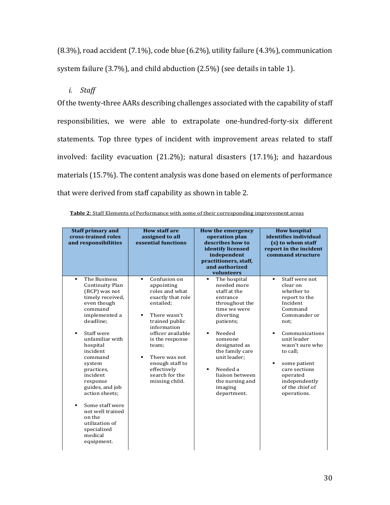(8.3%), road accident (7.1%), code blue (6.2%), utility failure (4.3%), communication system failure (3.7%), and child abduction (2.5%) (see details in table 1).

*i. Staff*

Of the twenty-three AARs describing challenges associated with the capability of staff responsibilities, we were able to extrapolate one-hundred-forty-six different statements. Top three types of incident with improvement areas related to staff involved: facility evacuation (21.2%); natural disasters (17.1%); and hazardous materials (15.7%). The content analysis was done based on elements of performance that were derived from staff capability as shown in table 2.

| <b>Staff primary and</b><br>cross-trained roles<br>and responsibilities                                                                                                                                                                                                                                                                                                                                                        | <b>How staff are</b><br>assigned to all<br>essential functions                                                                                                                                                                                                                                                                | <b>How the emergency</b><br>operation plan<br>describes how to<br>identify licensed<br>independent<br>practitioners, staff,<br>and authorized<br>volunteers                                                                                                                                                                    | <b>How hospital</b><br>identifies individual<br>(s) to whom staff<br>report in the incident<br>command structure                                                                                                                                                                                     |
|--------------------------------------------------------------------------------------------------------------------------------------------------------------------------------------------------------------------------------------------------------------------------------------------------------------------------------------------------------------------------------------------------------------------------------|-------------------------------------------------------------------------------------------------------------------------------------------------------------------------------------------------------------------------------------------------------------------------------------------------------------------------------|--------------------------------------------------------------------------------------------------------------------------------------------------------------------------------------------------------------------------------------------------------------------------------------------------------------------------------|------------------------------------------------------------------------------------------------------------------------------------------------------------------------------------------------------------------------------------------------------------------------------------------------------|
| The Business<br><b>Continuity Plan</b><br>(BCP) was not<br>timely received,<br>even though<br>command<br>implemented a<br>deadline:<br>Staff were<br>$\blacksquare$<br>unfamiliar with<br>hospital<br>incident<br>command<br>system<br>practices.<br>incident<br>response<br>guides, and job<br>action sheets;<br>Some staff were<br>٠<br>not well trained<br>on the<br>utilization of<br>specialized<br>medical<br>equipment. | Confusion on<br>$\blacksquare$<br>appointing<br>roles and what<br>exactly that role<br>entailed;<br>There wasn't<br>$\blacksquare$<br>trained public<br>information<br>officer available<br>is the response<br>team;<br>There was not<br>$\blacksquare$<br>enough staff to<br>effectively<br>search for the<br>missing child. | The hospital<br>$\blacksquare$<br>needed more<br>staff at the<br>entrance<br>throughout the<br>time we were<br>diverting<br>patients;<br>Needed<br>$\blacksquare$<br>someone<br>designated as<br>the family care<br>unit leader;<br>Needed a<br>$\blacksquare$<br>liaison between<br>the nursing and<br>imaging<br>department. | Staff were not<br>٠<br>clear on<br>whether to<br>report to the<br>Incident<br>Command<br>Commander or<br>not:<br>Communications<br>$\blacksquare$<br>unit leader<br>wasn't sure who<br>to call;<br>some patient<br>٠<br>care sections<br>operated<br>independently<br>of the chief of<br>operations. |

| <b>Table 2:</b> Staff Elements of Performance with some of their corresponding improvement areas |  |  |  |
|--------------------------------------------------------------------------------------------------|--|--|--|
|                                                                                                  |  |  |  |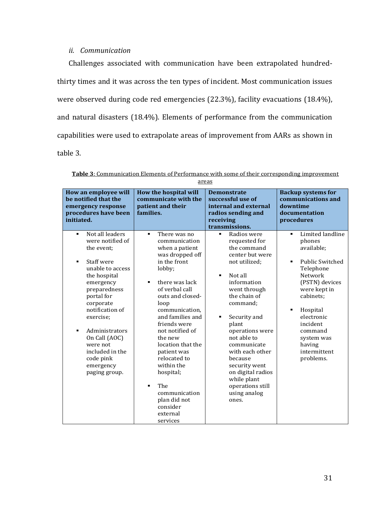#### *ii. Communication*

Challenges associated with communication have been extrapolated hundredthirty times and it was across the ten types of incident. Most communication issues were observed during code red emergencies (22.3%), facility evacuations (18.4%), and natural disasters (18.4%). Elements of performance from the communication capabilities were used to extrapolate areas of improvement from AARs as shown in table 3.

| How an employee will<br>be notified that the<br>emergency response<br>procedures have been<br>initiated.                                                                                                                                                                                                                             | How the hospital will<br>communicate with the<br>patient and their<br>families.                                                                                                                                                                                                                                                                                                                                                                                   | <b>Demonstrate</b><br>successful use of<br>internal and external<br>radios sending and<br>receiving<br>transmissions.                                                                                                                                                                                                                                                                       | <b>Backup systems for</b><br>communications and<br>downtime<br>documentation<br>procedures                                                                                                                                                                     |
|--------------------------------------------------------------------------------------------------------------------------------------------------------------------------------------------------------------------------------------------------------------------------------------------------------------------------------------|-------------------------------------------------------------------------------------------------------------------------------------------------------------------------------------------------------------------------------------------------------------------------------------------------------------------------------------------------------------------------------------------------------------------------------------------------------------------|---------------------------------------------------------------------------------------------------------------------------------------------------------------------------------------------------------------------------------------------------------------------------------------------------------------------------------------------------------------------------------------------|----------------------------------------------------------------------------------------------------------------------------------------------------------------------------------------------------------------------------------------------------------------|
| Not all leaders<br>$\blacksquare$<br>were notified of<br>the event:<br>Staff were<br>٠<br>unable to access<br>the hospital<br>emergency<br>preparedness<br>portal for<br>corporate<br>notification of<br>exercise;<br>Administrators<br>٠<br>On Call (AOC)<br>were not<br>included in the<br>code pink<br>emergency<br>paging group. | There was no<br>$\blacksquare$<br>communication<br>when a patient<br>was dropped off<br>in the front<br>lobby;<br>there was lack<br>$\blacksquare$<br>of verbal call<br>outs and closed-<br>loop<br>communication,<br>and families and<br>friends were<br>not notified of<br>the new<br>location that the<br>patient was<br>relocated to<br>within the<br>hospital;<br>The<br>$\blacksquare$<br>communication<br>plan did not<br>consider<br>external<br>services | Radios were<br>٠<br>requested for<br>the command<br>center but were<br>not utilized;<br>Not all<br>$\blacksquare$<br>information<br>went through<br>the chain of<br>command;<br>Security and<br>٠<br>plant<br>operations were<br>not able to<br>communicate<br>with each other<br>because<br>security went<br>on digital radios<br>while plant<br>operations still<br>using analog<br>ones. | Limited landline<br>٠<br>phones<br>available;<br><b>Public Switched</b><br>٠<br>Telephone<br>Network<br>(PSTN) devices<br>were kept in<br>cabinets:<br>Hospital<br>٠<br>electronic<br>incident<br>command<br>system was<br>having<br>intermittent<br>problems. |

**Table 3**: Communication Elements of Performance with some of their corresponding improvement

areas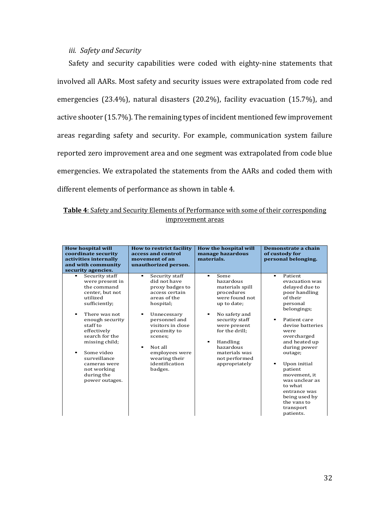### *iii. Safety and Security*

Safety and security capabilities were coded with eighty-nine statements that involved all AARs. Most safety and security issues were extrapolated from code red emergencies (23.4%), natural disasters (20.2%), facility evacuation (15.7%), and active shooter (15.7%). The remaining types of incident mentioned few improvement areas regarding safety and security. For example, communication system failure reported zero improvement area and one segment was extrapolated from code blue emergencies. We extrapolated the statements from the AARs and coded them with different elements of performance as shown in table 4.

| <b>Table 4:</b> Safety and Security Elements of Performance with some of their corresponding |  |                   |  |  |  |
|----------------------------------------------------------------------------------------------|--|-------------------|--|--|--|
|                                                                                              |  | improvement areas |  |  |  |

| <b>How hospital will</b><br>coordinate security<br>activities internally<br>and with community<br>security agencies.                                                                                                                                                                                                                      | <b>How to restrict facility</b><br>access and control<br>movement of an<br>unauthorized person.                                                                                                                                                                                                                   | How the hospital will<br>manage hazardous<br>materials.                                                                                                                                                                                                                                    | Demonstrate a chain<br>of custody for<br>personal belonging.                                                                                                                                                                                                                                                                                                                        |
|-------------------------------------------------------------------------------------------------------------------------------------------------------------------------------------------------------------------------------------------------------------------------------------------------------------------------------------------|-------------------------------------------------------------------------------------------------------------------------------------------------------------------------------------------------------------------------------------------------------------------------------------------------------------------|--------------------------------------------------------------------------------------------------------------------------------------------------------------------------------------------------------------------------------------------------------------------------------------------|-------------------------------------------------------------------------------------------------------------------------------------------------------------------------------------------------------------------------------------------------------------------------------------------------------------------------------------------------------------------------------------|
| Security staff<br>٠<br>were present in<br>the command<br>center, but not<br>utilized<br>sufficiently:<br>There was not<br>$\blacksquare$<br>enough security<br>staff to<br>effectively<br>search for the<br>missing child;<br>Some video<br>$\blacksquare$<br>surveillance<br>cameras were<br>not working<br>during the<br>power outages. | Security staff<br>$\blacksquare$<br>did not have<br>proxy badges to<br>access certain<br>areas of the<br>hospital;<br>Unnecessary<br>$\blacksquare$<br>personnel and<br>visitors in close<br>proximity to<br>scenes;<br>Not all<br>$\blacksquare$<br>employees were<br>wearing their<br>identification<br>badges. | Some<br>$\blacksquare$<br>hazardous<br>materials spill<br>procedures<br>were found not<br>up to date;<br>No safety and<br>$\blacksquare$<br>security staff<br>were present<br>for the drill:<br>Handling<br>$\blacksquare$<br>hazardous<br>materials was<br>not performed<br>appropriately | Patient<br>$\blacksquare$<br>evacuation was<br>delayed due to<br>poor handling<br>of their<br>personal<br>belongings;<br>Patient care<br>٠<br>devise batteries<br>were<br>overcharged<br>and heated up<br>during power<br>outage;<br>Upon initial<br>patient<br>movement, it<br>was unclear as<br>to what<br>entrance was<br>being used by<br>the vans to<br>transport<br>patients. |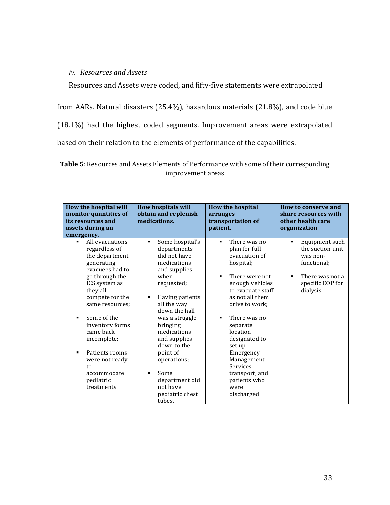### *iv. Resources and Assets*

Resources and Assets were coded, and fifty-five statements were extrapolated

from AARs. Natural disasters (25.4%), hazardous materials (21.8%), and code blue

(18.1%) had the highest coded segments. Improvement areas were extrapolated

based on their relation to the elements of performance of the capabilities.

### **Table 5**: Resources and Assets Elements of Performance with some of their corresponding improvement areas

| All evacuations<br>Some hospital's<br>There was no<br>٠<br>٠<br>٠<br>regardless of<br>departments<br>plan for full<br>did not have<br>the department<br>evacuation of<br>was non-<br>medications<br>hospital;<br>functional;<br>generating<br>evacuees had to<br>and supplies<br>go through the<br>when<br>There were not<br>٠<br>٠<br>ICS system as<br>requested;<br>enough vehicles<br>they all<br>to evacuate staff<br>dialysis.<br>compete for the<br>as not all them<br>Having patients<br>٠<br>all the way<br>drive to work;<br>same resources;<br>down the hall<br>Some of the<br>There was no<br>was a struggle<br>٠<br>inventory forms<br>bringing<br>separate<br>came back<br>medications<br>location<br>incomplete;<br>and supplies<br>designated to<br>down to the<br>set up<br>Patients rooms<br>٠ | How the hospital will<br>monitor quantities of<br>its resources and<br>assets during an<br>emergency. | <b>How hospitals will</b><br>obtain and replenish<br>medications. | <b>How the hospital</b><br>arranges<br>transportation of<br>patient. | How to conserve and<br>share resources with<br>other health care<br>organization |
|-----------------------------------------------------------------------------------------------------------------------------------------------------------------------------------------------------------------------------------------------------------------------------------------------------------------------------------------------------------------------------------------------------------------------------------------------------------------------------------------------------------------------------------------------------------------------------------------------------------------------------------------------------------------------------------------------------------------------------------------------------------------------------------------------------------------|-------------------------------------------------------------------------------------------------------|-------------------------------------------------------------------|----------------------------------------------------------------------|----------------------------------------------------------------------------------|
| Management<br>operations;<br>were not ready<br>Services<br>to<br>accommodate<br>Some<br>transport, and<br>department did<br>patients who<br>pediatric<br>not have<br>treatments.<br>were<br>pediatric chest<br>discharged.                                                                                                                                                                                                                                                                                                                                                                                                                                                                                                                                                                                      |                                                                                                       | point of                                                          | Emergency                                                            | Equipment such<br>the suction unit<br>There was not a<br>specific EOP for        |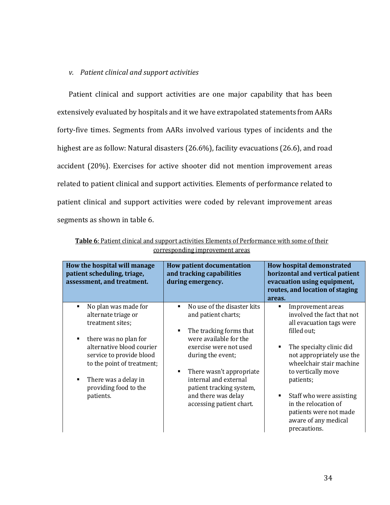#### *v. Patient clinical and support activities*

Patient clinical and support activities are one major capability that has been extensively evaluated by hospitals and it we have extrapolated statements from AARs forty-five times. Segments from AARs involved various types of incidents and the highest are as follow: Natural disasters (26.6%), facility evacuations (26.6), and road accident (20%). Exercises for active shooter did not mention improvement areas related to patient clinical and support activities. Elements of performance related to patient clinical and support activities were coded by relevant improvement areas segments as shown in table 6.

| How the hospital will manage<br>patient scheduling, triage,<br>assessment, and treatment.                                                                                                                                                                    | <b>How patient documentation</b><br>and tracking capabilities<br>during emergency.                                                                                                                                                                                                         | <b>How hospital demonstrated</b><br>horizontal and vertical patient<br>evacuation using equipment,<br>routes, and location of staging<br>areas.                                                                                                                                                                                               |
|--------------------------------------------------------------------------------------------------------------------------------------------------------------------------------------------------------------------------------------------------------------|--------------------------------------------------------------------------------------------------------------------------------------------------------------------------------------------------------------------------------------------------------------------------------------------|-----------------------------------------------------------------------------------------------------------------------------------------------------------------------------------------------------------------------------------------------------------------------------------------------------------------------------------------------|
| No plan was made for<br>п<br>alternate triage or<br>treatment sites;<br>there was no plan for<br>٠<br>alternative blood courier<br>service to provide blood<br>to the point of treatment;<br>There was a delay in<br>٠<br>providing food to the<br>patients. | No use of the disaster kits<br>and patient charts;<br>The tracking forms that<br>were available for the<br>exercise were not used<br>during the event;<br>There wasn't appropriate<br>internal and external<br>patient tracking system,<br>and there was delay<br>accessing patient chart. | Improvement areas<br>٠<br>involved the fact that not<br>all evacuation tags were<br>filled out;<br>The specialty clinic did<br>not appropriately use the<br>wheelchair stair machine<br>to vertically move<br>patients;<br>Staff who were assisting<br>in the relocation of<br>patients were not made<br>aware of any medical<br>precautions. |

**Table 6**: Patient clinical and support activities Elements of Performance with some of their corresponding improvement areas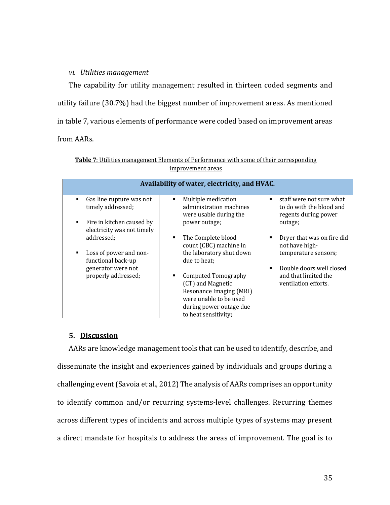#### *vi. Utilities management*

The capability for utility management resulted in thirteen coded segments and utility failure (30.7%) had the biggest number of improvement areas. As mentioned in table 7, various elements of performance were coded based on improvement areas from AARs.

|                                                                           | Availability of water, electricity, and HVAC.                                 |                                                                                                |
|---------------------------------------------------------------------------|-------------------------------------------------------------------------------|------------------------------------------------------------------------------------------------|
| Gas line rupture was not<br>$\blacksquare$<br>timely addressed;           | Multiple medication<br>٠<br>administration machines<br>were usable during the | staff were not sure what<br>$\blacksquare$<br>to do with the blood and<br>regents during power |
| Fire in kitchen caused by<br>$\blacksquare$<br>electricity was not timely | power outage;                                                                 | outage;                                                                                        |
| addressed;                                                                | The Complete blood<br>٠<br>count (CBC) machine in                             | Dryer that was on fire did<br>$\blacksquare$<br>not have high-                                 |
| Loss of power and non-<br>functional back-up                              | the laboratory shut down<br>due to heat:                                      | temperature sensors;                                                                           |
| generator were not                                                        |                                                                               | Double doors well closed<br>$\blacksquare$                                                     |
| properly addressed;                                                       | Computed Tomography                                                           | and that limited the                                                                           |
|                                                                           | (CT) and Magnetic                                                             | ventilation efforts.                                                                           |
|                                                                           | Resonance Imaging (MRI)                                                       |                                                                                                |
|                                                                           | were unable to be used                                                        |                                                                                                |
|                                                                           | during power outage due                                                       |                                                                                                |
|                                                                           | to heat sensitivity;                                                          |                                                                                                |

| <b>Table 7:</b> Utilities management Elements of Performance with some of their corresponding |
|-----------------------------------------------------------------------------------------------|
| improvement areas                                                                             |

### **5. Discussion**

AARs are knowledge management tools that can be used to identify, describe, and disseminate the insight and experiences gained by individuals and groups during a challenging event(Savoia et al., 2012) The analysis of AARs comprises an opportunity to identify common and/or recurring systems-level challenges. Recurring themes across different types of incidents and across multiple types of systems may present a direct mandate for hospitals to address the areas of improvement. The goal is to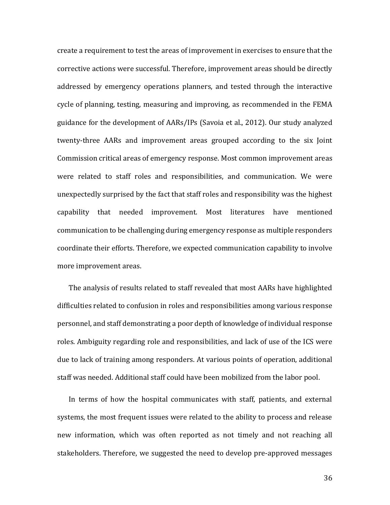create a requirement to test the areas of improvement in exercises to ensure that the corrective actions were successful. Therefore, improvement areas should be directly addressed by emergency operations planners, and tested through the interactive cycle of planning, testing, measuring and improving, as recommended in the FEMA guidance for the development of AARs/IPs (Savoia et al., 2012). Our study analyzed twenty-three AARs and improvement areas grouped according to the six Joint Commission critical areas of emergency response. Most common improvement areas were related to staff roles and responsibilities, and communication. We were unexpectedly surprised by the fact that staff roles and responsibility was the highest capability that needed improvement. Most literatures have mentioned communication to be challenging during emergency response as multiple responders coordinate their efforts. Therefore, we expected communication capability to involve more improvement areas.

The analysis of results related to staff revealed that most AARs have highlighted difficulties related to confusion in roles and responsibilities among various response personnel, and staff demonstrating a poor depth of knowledge of individual response roles. Ambiguity regarding role and responsibilities, and lack of use of the ICS were due to lack of training among responders. At various points of operation, additional staff was needed. Additional staff could have been mobilized from the labor pool.

In terms of how the hospital communicates with staff, patients, and external systems, the most frequent issues were related to the ability to process and release new information, which was often reported as not timely and not reaching all stakeholders. Therefore, we suggested the need to develop pre-approved messages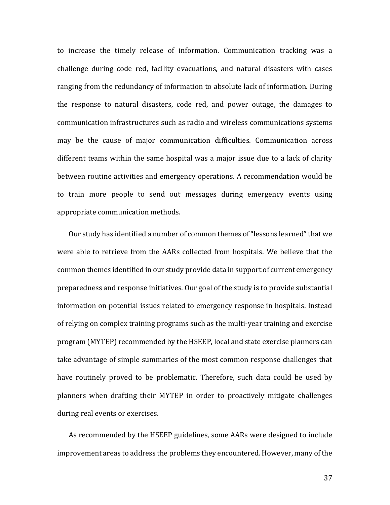to increase the timely release of information. Communication tracking was a challenge during code red, facility evacuations, and natural disasters with cases ranging from the redundancy of information to absolute lack of information. During the response to natural disasters, code red, and power outage, the damages to communication infrastructures such as radio and wireless communications systems may be the cause of major communication difficulties. Communication across different teams within the same hospital was a major issue due to a lack of clarity between routine activities and emergency operations. A recommendation would be to train more people to send out messages during emergency events using appropriate communication methods.

Our study has identified a number of common themes of "lessons learned" that we were able to retrieve from the AARs collected from hospitals. We believe that the common themes identified in our study provide data in support of current emergency preparedness and response initiatives. Our goal of the study is to provide substantial information on potential issues related to emergency response in hospitals. Instead of relying on complex training programs such as the multi-year training and exercise program (MYTEP) recommended by the HSEEP, local and state exercise planners can take advantage of simple summaries of the most common response challenges that have routinely proved to be problematic. Therefore, such data could be used by planners when drafting their MYTEP in order to proactively mitigate challenges during real events or exercises.

As recommended by the HSEEP guidelines, some AARs were designed to include improvement areas to address the problems they encountered. However, many of the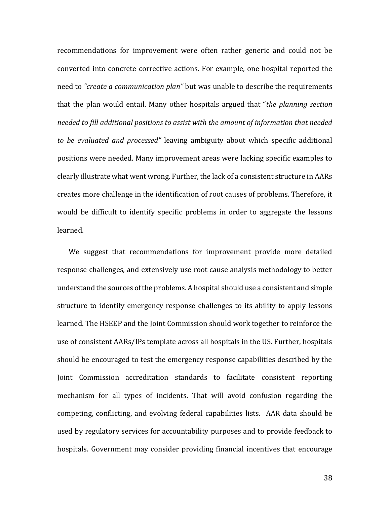recommendations for improvement were often rather generic and could not be converted into concrete corrective actions. For example, one hospital reported the need to *"create a communication plan"* but was unable to describe the requirements that the plan would entail. Many other hospitals argued that "*the planning section needed to fill additional positions to assist with the amount of information that needed to be evaluated and processed"* leaving ambiguity about which specific additional positions were needed. Many improvement areas were lacking specific examples to clearly illustrate what went wrong. Further, the lack of a consistent structure in AARs creates more challenge in the identification of root causes of problems. Therefore, it would be difficult to identify specific problems in order to aggregate the lessons learned.

We suggest that recommendations for improvement provide more detailed response challenges, and extensively use root cause analysis methodology to better understand the sources of the problems. A hospital should use a consistent and simple structure to identify emergency response challenges to its ability to apply lessons learned. The HSEEP and the Joint Commission should work together to reinforce the use of consistent AARs/IPs template across all hospitals in the US. Further, hospitals should be encouraged to test the emergency response capabilities described by the Joint Commission accreditation standards to facilitate consistent reporting mechanism for all types of incidents. That will avoid confusion regarding the competing, conflicting, and evolving federal capabilities lists. AAR data should be used by regulatory services for accountability purposes and to provide feedback to hospitals. Government may consider providing financial incentives that encourage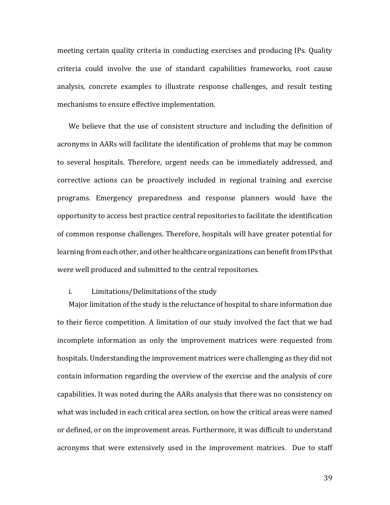meeting certain quality criteria in conducting exercises and producing IPs. Quality criteria could involve the use of standard capabilities frameworks, root cause analysis, concrete examples to illustrate response challenges, and result testing mechanisms to ensure effective implementation.

We believe that the use of consistent structure and including the definition of acronyms in AARs will facilitate the identification of problems that may be common to several hospitals. Therefore, urgent needs can be immediately addressed, and corrective actions can be proactively included in regional training and exercise programs. Emergency preparedness and response planners would have the opportunity to access best practice central repositories to facilitate the identification of common response challenges. Therefore, hospitals will have greater potential for learning from each other, and other healthcare organizations can benefit from IPs that were well produced and submitted to the central repositories.

#### i. Limitations/Delimitations of the study

Major limitation of the study is the reluctance of hospital to share information due to their fierce competition. A limitation of our study involved the fact that we had incomplete information as only the improvement matrices were requested from hospitals. Understanding the improvement matrices were challenging as they did not contain information regarding the overview of the exercise and the analysis of core capabilities. It was noted during the AARs analysis that there was no consistency on what was included in each critical area section, on how the critical areas were named or defined, or on the improvement areas. Furthermore, it was difficult to understand acronyms that were extensively used in the improvement matrices. Due to staff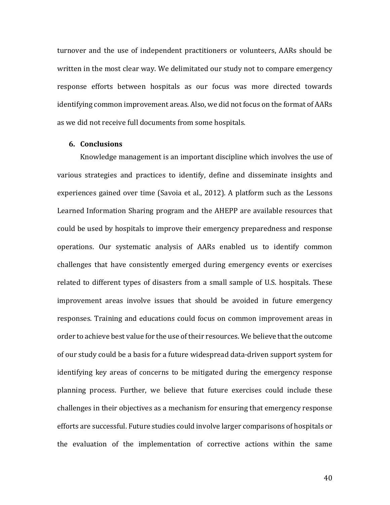turnover and the use of independent practitioners or volunteers, AARs should be written in the most clear way. We delimitated our study not to compare emergency response efforts between hospitals as our focus was more directed towards identifying common improvement areas. Also, we did not focus on the format of AARs as we did not receive full documents from some hospitals.

#### **6. Conclusions**

Knowledge management is an important discipline which involves the use of various strategies and practices to identify, define and disseminate insights and experiences gained over time (Savoia et al., 2012). A platform such as the Lessons Learned Information Sharing program and the AHEPP are available resources that could be used by hospitals to improve their emergency preparedness and response operations. Our systematic analysis of AARs enabled us to identify common challenges that have consistently emerged during emergency events or exercises related to different types of disasters from a small sample of U.S. hospitals. These improvement areas involve issues that should be avoided in future emergency responses. Training and educations could focus on common improvement areas in order to achieve best value for the use of their resources. We believe that the outcome of our study could be a basis for a future widespread data-driven support system for identifying key areas of concerns to be mitigated during the emergency response planning process. Further, we believe that future exercises could include these challenges in their objectives as a mechanism for ensuring that emergency response efforts are successful. Future studies could involve larger comparisons of hospitals or the evaluation of the implementation of corrective actions within the same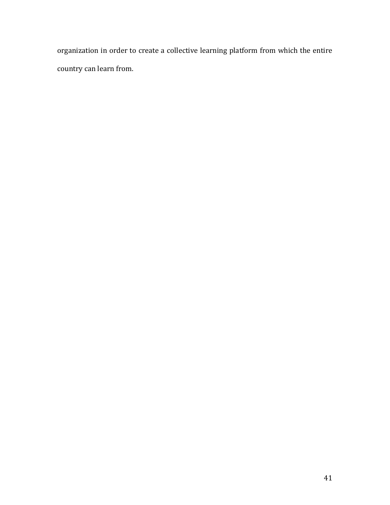organization in order to create a collective learning platform from which the entire country can learn from.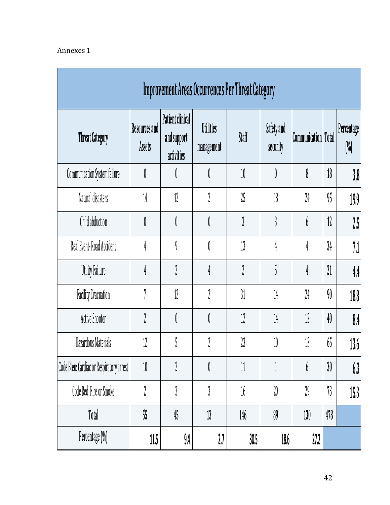# Annexes 1

| Improvement Areas Occurrences Per Threat Category |                         |                                               |                                |        |                        |                            |     |                      |  |  |  |
|---------------------------------------------------|-------------------------|-----------------------------------------------|--------------------------------|--------|------------------------|----------------------------|-----|----------------------|--|--|--|
| <b>Threat Category</b>                            | Resources and<br>Assets | Patient clinical<br>and support<br>activities | <b>Utilities</b><br>management | Staff  | Safety and<br>security | <b>Communication</b> Total |     | Percentage<br>$(\%)$ |  |  |  |
| Communication System failure                      | 0                       |                                               | O                              | 10     | O                      | 8                          | 18  | 30 <sub>o</sub>      |  |  |  |
| Natural disasters                                 | 14                      | 12                                            | 2                              | 25     | 18                     | 24                         | 95  | 19.9                 |  |  |  |
| Child abduction                                   | 0                       | 0                                             | O                              | 3      | }                      | b                          | 12  | 25                   |  |  |  |
| Real Event-Road Accident                          | 4                       | 9                                             | O                              | 13     | 4                      | 4                          | 34  | 71                   |  |  |  |
| <b>Utility Failure</b>                            | 4                       | $\iota$                                       | $\frac{1}{4}$                  | 2      | 5                      | 4                          | 21  | 44                   |  |  |  |
| <b>Facility Evacuation</b>                        | 7                       | 12                                            | 2                              | 31     | 14                     | 24                         | 90  | 18,8                 |  |  |  |
| Active Shooter                                    | $\gamma$                | 0                                             | O                              | 12     | 14                     | 12                         | 40  | $\frac{0.4}{0.1}$    |  |  |  |
| Hazardous Materials                               | 12                      | ۴<br>Ć                                        | $\eta$                         | 23     | 10                     | 13                         | 65  | 136                  |  |  |  |
| Code Bleu: Cardiac or Respiratory arrest          | 10                      | 2                                             | ≬                              | 11     | 1                      | b                          | 30  | 63                   |  |  |  |
| Code Red: Fire or Smoke                           | $\iota$                 | }                                             | 3                              | $16\,$ | 20                     | 29                         | 73  | 15.3                 |  |  |  |
| Total                                             | 55                      | 45                                            | 13                             | 146    | 89                     | 130                        | 478 |                      |  |  |  |
| Percentage (%)                                    | 11.5                    | 9,4                                           | 27                             | 30.5   | 18.6                   | 27.2                       |     |                      |  |  |  |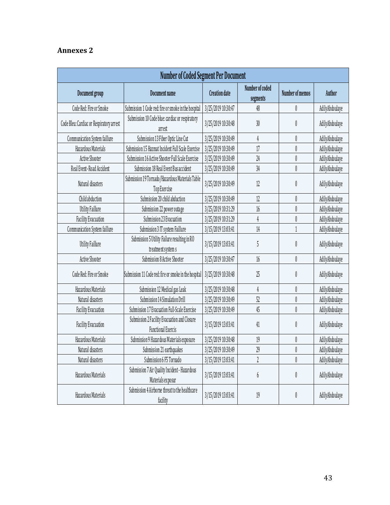# **Annexes 2**

| Number of Coded Segment Per Document     |                                                                           |                      |                             |                               |                |  |  |  |  |  |  |
|------------------------------------------|---------------------------------------------------------------------------|----------------------|-----------------------------|-------------------------------|----------------|--|--|--|--|--|--|
| Document group                           | Document name                                                             | <b>Creation date</b> | Number of coded<br>segments | Number of memos               | Author         |  |  |  |  |  |  |
| Code Red: Fire or Smoke                  | Submission 1 Code red: fire or smoke in the hospital                      | 3/25/2019 10:30:47   | 48                          | $\emptyset$                   | AdilyAbdoulaye |  |  |  |  |  |  |
| Code Bleu: Cardiac or Respiratory arrest | Submission 10 Code blue: cardiac or respiratory<br>arrest                 | 3/25/2019 10:30:48   | 30                          | $\emptyset$                   | AdilyAbdoulaye |  |  |  |  |  |  |
| Communication System faillure            | Submission 13 Fiber Optic Line Cut                                        | 3/25/2019 10:30:49   | 4                           | $\emptyset$                   | AdilyAbdoulaye |  |  |  |  |  |  |
| Hazardous Materials                      | Submission 15 Hazmat Incident Full Scale Exercise                         | 3/25/2019 10:30:49   | 17                          | $\emptyset$                   | AdilyAbdoulaye |  |  |  |  |  |  |
| Active Shooter                           | Submission 16 Active Shooter Full Scale Exercise                          | 3/25/2019 10:30:49   | 24                          | $\emptyset$                   | AdilyAbdoulaye |  |  |  |  |  |  |
| Real Event-Road Accident                 | Submission 18 Real Event Bus accident                                     | 3/25/2019 10:30:49   | 34                          | $\begin{matrix} \end{matrix}$ | AdilyAbdoulaye |  |  |  |  |  |  |
| Natural disasters                        | Submission 19 Tornado/Hazardous Materials Table<br>Top Exercise           | 3/25/2019 10:30:49   | 12                          | $\emptyset$                   | AdilyAbdoulaye |  |  |  |  |  |  |
| Child abduction                          | Submission 20 child abduction                                             | 3/25/2019 10:30:49   | 12                          | $\emptyset$                   | AdilyAbdoulaye |  |  |  |  |  |  |
| <b>Utility Faillure</b>                  | Submission 22 power outage                                                | 3/25/2019 10:31:29   | 16                          | $\begin{matrix} \end{matrix}$ | AdilyAbdoulaye |  |  |  |  |  |  |
| <b>Facility Evacuation</b>               | Submission 23 Evacuation                                                  | 3/25/2019 10:31:29   | 4                           | $\emptyset$                   | AdilyAbdoulaye |  |  |  |  |  |  |
| Communication System faillure            | Submission 3 IT system Faillure                                           | 3/15/2019 13:03:41   | 14                          |                               | AdilyAbdoulaye |  |  |  |  |  |  |
| <b>Utility Faillure</b>                  | Submission 5 Utility Failure resulting in RO<br>treatment system s        | 3/15/2019 13:03:41   | 5                           | $\emptyset$                   | AdilyAbdoulaye |  |  |  |  |  |  |
| Active Shooter                           | Submission 8 Active Shooter                                               | 3/25/2019 10:30:47   | 16                          | $\varnothing$                 | AdilyAbdoulaye |  |  |  |  |  |  |
| Code Red: Fire or Smoke                  | Submission 11 Code red: fire or smoke in the hospital                     | 3/25/2019 10:30:48   | 25                          | $\emptyset$                   | AdilyAbdoulaye |  |  |  |  |  |  |
| Hazardous Materials                      | Submission 12 Medical gas Leak                                            | 3/25/2019 10:30:48   | $\frac{4}{3}$               | $\emptyset$                   | AdilyAbdoulaye |  |  |  |  |  |  |
| Natural disasters                        | Submission 14 Simulation Drill                                            | 3/25/2019 10:30:49   | 52                          | $\emptyset$                   | AdilyAbdoulaye |  |  |  |  |  |  |
| <b>Facility Evacuation</b>               | Submission 17 Evacuation Full-Scale Exercise                              | 3/25/2019 10:30:49   | 45                          | $\emptyset$                   | AdilyAbdoulaye |  |  |  |  |  |  |
| <b>Facility Evacuation</b>               | Submission 2 Facility Evacuation and Closure<br><b>Functional Exercis</b> | 3/15/2019 13:03:41   | 41                          | $\emptyset$                   | AdilyAbdoulaye |  |  |  |  |  |  |
| Hazardous Materials                      | Submission 9 Hazardous Materials exposure                                 | 3/25/2019 10:30:48   | 19                          | $\emptyset$                   | AdilyAbdoulaye |  |  |  |  |  |  |
| Natural disasters                        | Submission 21 earthquakes                                                 | 3/25/2019 10:30:49   | 29                          | $\emptyset$                   | AdilyAbdoulaye |  |  |  |  |  |  |
| Natural disasters                        | Submission 6 F5 Tornado                                                   | 3/15/2019 13:03:41   | $\overline{2}$              | $\emptyset$                   | AdilyAbdoulaye |  |  |  |  |  |  |
| Hazardous Materials                      | Submission 7 Air Quality Incident - Hazardous<br>Materials exposur        | 3/15/2019 13:03:41   | 6                           | 0                             | AdilyAbdoulaye |  |  |  |  |  |  |
| Hazardous Materials                      | Submission 4 Airborne threat to the healthcare<br>facility                | 3/15/2019 13:03:41   | 19                          | $\boldsymbol{0}$              | AdilyAbdoulaye |  |  |  |  |  |  |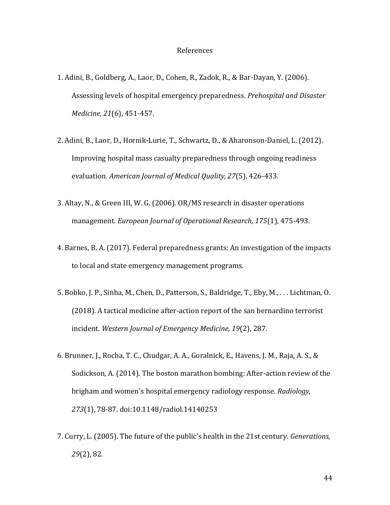#### References

- 1. Adini, B., Goldberg, A., Laor, D., Cohen, R., Zadok, R., & Bar-Dayan, Y. (2006). Assessing levels of hospital emergency preparedness. *Prehospital and Disaster Medicine, 21*(6), 451-457.
- 2. Adini, B., Laor, D., Hornik-Lurie, T., Schwartz, D., & Aharonson-Daniel, L. (2012). Improving hospital mass casualty preparedness through ongoing readiness evaluation. *American Journal of Medical Quality, 27*(5), 426-433.
- 3. Altay, N., & Green III, W. G. (2006). OR/MS research in disaster operations management. *European Journal of Operational Research, 175*(1), 475-493.
- 4. Barnes, B. A. (2017). Federal preparedness grants: An investigation of the impacts to local and state emergency management programs.
- 5. Bobko, J. P., Sinha, M., Chen, D., Patterson, S., Baldridge, T., Eby, M., . . . Lichtman, O. (2018). A tactical medicine after-action report of the san bernardino terrorist incident. *Western Journal of Emergency Medicine, 19*(2), 287.
- 6. Brunner, J., Rocha, T. C., Chudgar, A. A., Goralnick, E., Havens, J. M., Raja, A. S., & Sodickson, A. (2014). The boston marathon bombing: After-action review of the brigham and women's hospital emergency radiology response. *Radiology, 273*(1), 78-87. doi:10.1148/radiol.14140253
- 7. Curry, L. (2005). The future of the public's health in the 21st century. *Generations, 29*(2), 82.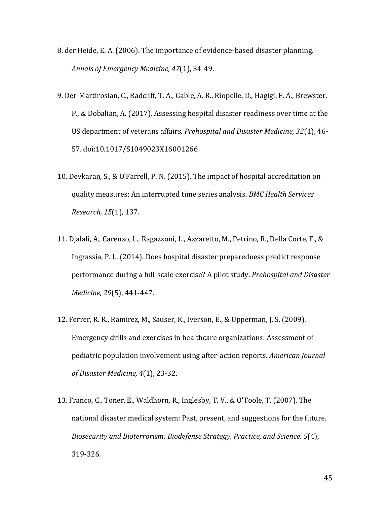- 8. der Heide, E. A. (2006). The importance of evidence-based disaster planning. *Annals of Emergency Medicine, 47*(1), 34-49.
- 9. Der-Martirosian, C., Radcliff, T. A., Gable, A. R., Riopelle, D., Hagigi, F. A., Brewster, P., & Dobalian, A. (2017). Assessing hospital disaster readiness over time at the US department of veterans affairs. *Prehospital and Disaster Medicine, 32*(1), 46- 57. doi:10.1017/S1049023X16001266
- 10. Devkaran, S., & O'Farrell, P. N. (2015). The impact of hospital accreditation on quality measures: An interrupted time series analysis. *BMC Health Services Research, 15*(1), 137.
- 11. Djalali, A., Carenzo, L., Ragazzoni, L., Azzaretto, M., Petrino, R., Della Corte, F., & Ingrassia, P. L. (2014). Does hospital disaster preparedness predict response performance during a full-scale exercise? A pilot study. *Prehospital and Disaster Medicine, 29*(5), 441-447.
- 12. Ferrer, R. R., Ramirez, M., Sauser, K., Iverson, E., & Upperman, J. S. (2009). Emergency drills and exercises in healthcare organizations: Assessment of pediatric population involvement using after-action reports. *American Journal of Disaster Medicine, 4*(1), 23-32.
- 13. Franco, C., Toner, E., Waldhorn, R., Inglesby, T. V., & O'Toole, T. (2007). The national disaster medical system: Past, present, and suggestions for the future. *Biosecurity and Bioterrorism: Biodefense Strategy, Practice, and Science, 5*(4), 319-326.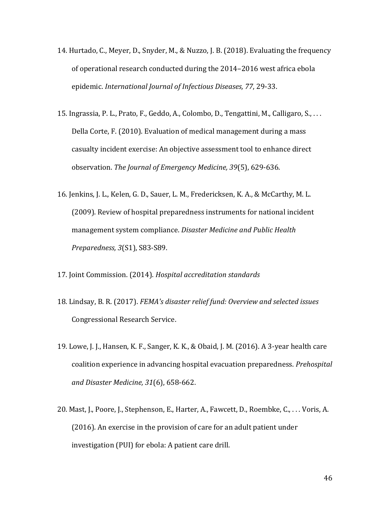- 14. Hurtado, C., Meyer, D., Snyder, M., & Nuzzo, J. B. (2018). Evaluating the frequency of operational research conducted during the 2014–2016 west africa ebola epidemic. *International Journal of Infectious Diseases, 77*, 29-33.
- 15. Ingrassia, P. L., Prato, F., Geddo, A., Colombo, D., Tengattini, M., Calligaro, S., . . . Della Corte, F. (2010). Evaluation of medical management during a mass casualty incident exercise: An objective assessment tool to enhance direct observation. *The Journal of Emergency Medicine, 39*(5), 629-636.
- 16. Jenkins, J. L., Kelen, G. D., Sauer, L. M., Fredericksen, K. A., & McCarthy, M. L. (2009). Review of hospital preparedness instruments for national incident management system compliance. *Disaster Medicine and Public Health Preparedness, 3*(S1), S83-S89.
- 17. Joint Commission. (2014). *Hospital accreditation standards*
- 18. Lindsay, B. R. (2017). *FEMA's disaster relief fund: Overview and selected issues* Congressional Research Service.
- 19. Lowe, J. J., Hansen, K. F., Sanger, K. K., & Obaid, J. M. (2016). A 3-year health care coalition experience in advancing hospital evacuation preparedness. *Prehospital and Disaster Medicine, 31*(6), 658-662.
- 20. Mast, J., Poore, J., Stephenson, E., Harter, A., Fawcett, D., Roembke, C., . . . Voris, A. (2016). An exercise in the provision of care for an adult patient under investigation (PUI) for ebola: A patient care drill.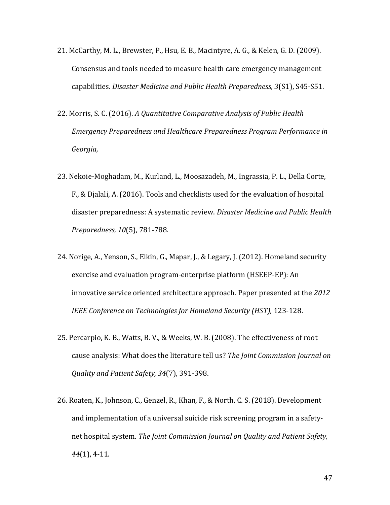- 21. McCarthy, M. L., Brewster, P., Hsu, E. B., Macintyre, A. G., & Kelen, G. D. (2009). Consensus and tools needed to measure health care emergency management capabilities. *Disaster Medicine and Public Health Preparedness, 3*(S1), S45-S51.
- 22. Morris, S. C. (2016). *A Quantitative Comparative Analysis of Public Health Emergency Preparedness and Healthcare Preparedness Program Performance in Georgia,*
- 23. Nekoie-Moghadam, M., Kurland, L., Moosazadeh, M., Ingrassia, P. L., Della Corte, F., & Djalali, A. (2016). Tools and checklists used for the evaluation of hospital disaster preparedness: A systematic review. *Disaster Medicine and Public Health Preparedness, 10*(5), 781-788.
- 24. Norige, A., Yenson, S., Elkin, G., Mapar, J., & Legary, J. (2012). Homeland security exercise and evaluation program-enterprise platform (HSEEP-EP): An innovative service oriented architecture approach. Paper presented at the *2012 IEEE Conference on Technologies for Homeland Security (HST), 123-128.*
- 25. Percarpio, K. B., Watts, B. V., & Weeks, W. B. (2008). The effectiveness of root cause analysis: What does the literature tell us? *The Joint Commission Journal on Quality and Patient Safety, 34*(7), 391-398.
- 26. Roaten, K., Johnson, C., Genzel, R., Khan, F., & North, C. S. (2018). Development and implementation of a universal suicide risk screening program in a safetynet hospital system. *The Joint Commission Journal on Quality and Patient Safety, 44*(1), 4-11.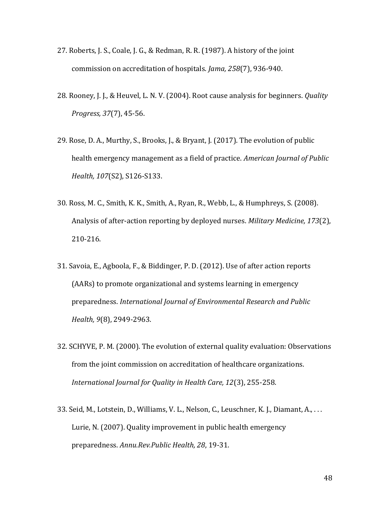- 27. Roberts, J. S., Coale, J. G., & Redman, R. R. (1987). A history of the joint commission on accreditation of hospitals. *Jama, 258*(7), 936-940.
- 28. Rooney, J. J., & Heuvel, L. N. V. (2004). Root cause analysis for beginners. *Quality Progress, 37*(7), 45-56.
- 29. Rose, D. A., Murthy, S., Brooks, J., & Bryant, J. (2017). The evolution of public health emergency management as a field of practice. *American Journal of Public Health, 107*(S2), S126-S133.
- 30. Ross, M. C., Smith, K. K., Smith, A., Ryan, R., Webb, L., & Humphreys, S. (2008). Analysis of after-action reporting by deployed nurses. *Military Medicine, 173*(2), 210-216.
- 31. Savoia, E., Agboola, F., & Biddinger, P. D. (2012). Use of after action reports (AARs) to promote organizational and systems learning in emergency preparedness. *International Journal of Environmental Research and Public Health, 9*(8), 2949-2963.
- 32. SCHYVE, P. M. (2000). The evolution of external quality evaluation: Observations from the joint commission on accreditation of healthcare organizations. *International Journal for Quality in Health Care, 12*(3), 255-258.
- 33. Seid, M., Lotstein, D., Williams, V. L., Nelson, C., Leuschner, K. J., Diamant, A., . . . Lurie, N. (2007). Quality improvement in public health emergency preparedness. *Annu.Rev.Public Health, 28*, 19-31.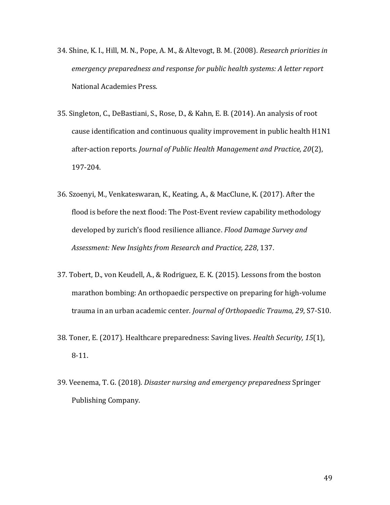- 34. Shine, K. I., Hill, M. N., Pope, A. M., & Altevogt, B. M. (2008). *Research priorities in emergency preparedness and response for public health systems: A letter report* National Academies Press.
- 35. Singleton, C., DeBastiani, S., Rose, D., & Kahn, E. B. (2014). An analysis of root cause identification and continuous quality improvement in public health H1N1 after-action reports. *Journal of Public Health Management and Practice, 20*(2), 197-204.
- 36. Szoenyi, M., Venkateswaran, K., Keating, A., & MacClune, K. (2017). After the flood is before the next flood: The Post‐Event review capability methodology developed by zurich's flood resilience alliance. *Flood Damage Survey and Assessment: New Insights from Research and Practice, 228*, 137.
- 37. Tobert, D., von Keudell, A., & Rodriguez, E. K. (2015). Lessons from the boston marathon bombing: An orthopaedic perspective on preparing for high-volume trauma in an urban academic center. *Journal of Orthopaedic Trauma, 29*, S7-S10.
- 38. Toner, E. (2017). Healthcare preparedness: Saving lives. *Health Security, 15*(1), 8-11.
- 39. Veenema, T. G. (2018). *Disaster nursing and emergency preparedness* Springer Publishing Company.